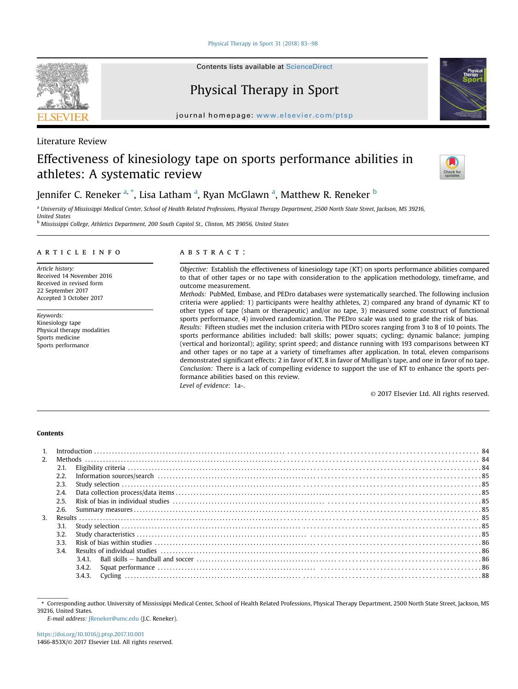[Physical Therapy in Sport 31 \(2018\) 83](https://doi.org/10.1016/j.ptsp.2017.10.001)-[98](https://doi.org/10.1016/j.ptsp.2017.10.001)

Contents lists available at ScienceDirect

# Physical Therapy in Sport

journal homepage: [www.elsevier.com/ptsp](http://www.elsevier.com/ptsp)

# Literature Review

# Effectiveness of kinesiology tape on sports performance abilities in athletes: A systematic review



Jennifer C. Reneker <sup>a, \*</sup>, Lisa Latham <sup>a</sup>, Ryan McGlawn <sup>a</sup>, Matthew R. Reneker <sup>b</sup>

a University of Mississippi Medical Center, School of Health Related Professions, Physical Therapy Department, 2500 North State Street, Jackson, MS 39216, United States

b Mississippi College, Athletics Department, 200 South Capitol St., Clinton, MS 39056, United States

## article info

Article history: Received 14 November 2016 Received in revised form 22 September 2017 Accepted 3 October 2017

Keywords: Kinesiology tape Physical therapy modalities Sports medicine Sports performance

# ABSTRACT:

Objective: Establish the effectiveness of kinesiology tape (KT) on sports performance abilities compared to that of other tapes or no tape with consideration to the application methodology, timeframe, and outcome measurement.

Methods: PubMed, Embase, and PEDro databases were systematically searched. The following inclusion criteria were applied: 1) participants were healthy athletes, 2) compared any brand of dynamic KT to other types of tape (sham or therapeutic) and/or no tape, 3) measured some construct of functional sports performance, 4) involved randomization. The PEDro scale was used to grade the risk of bias.

Results: Fifteen studies met the inclusion criteria with PEDro scores ranging from 3 to 8 of 10 points. The sports performance abilities included: ball skills; power squats; cycling; dynamic balance; jumping (vertical and horizontal); agility; sprint speed; and distance running with 193 comparisons between KT and other tapes or no tape at a variety of timeframes after application. In total, eleven comparisons demonstrated significant effects: 2 in favor of KT, 8 in favor of Mulligan's tape, and one in favor of no tape. Conclusion: There is a lack of compelling evidence to support the use of KT to enhance the sports performance abilities based on this review. Level of evidence: 1a-.

© 2017 Elsevier Ltd. All rights reserved.

# Contents

|              | 2.1. |        |  |
|--------------|------|--------|--|
|              | 2.2. |        |  |
|              | 2.3. |        |  |
|              | 2.4. |        |  |
|              | 2.5. |        |  |
|              | 2.6. |        |  |
| $\mathbf{3}$ |      |        |  |
|              | 3.1. |        |  |
|              | 3.2. |        |  |
|              | 3.3. |        |  |
|              | 3.4. |        |  |
|              |      | 3.4.1. |  |
|              |      | 3.4.2. |  |
|              |      | 3.4.3. |  |
|              |      |        |  |

E-mail address: [JReneker@umc.edu](mailto:JReneker@umc.edu) (J.C. Reneker).



<sup>\*</sup> Corresponding author. University of Mississippi Medical Center, School of Health Related Professions, Physical Therapy Department, 2500 North State Street, Jackson, MS 39216, United States.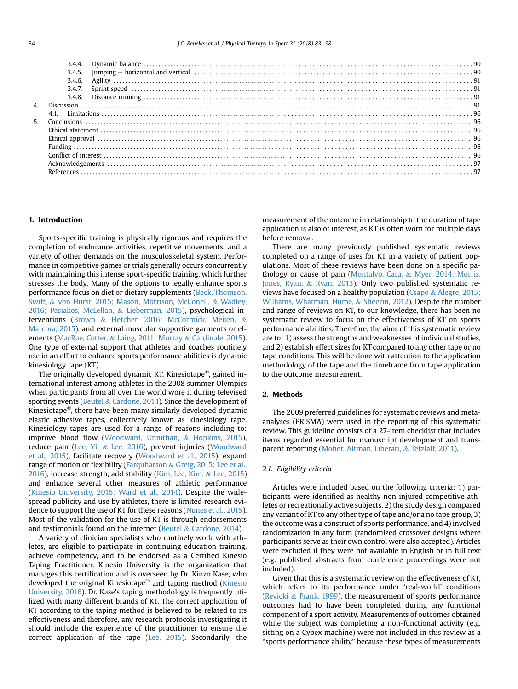| 3.4.5. |  |
|--------|--|
| 3.4.6. |  |
|        |  |
|        |  |
|        |  |
|        |  |
|        |  |
|        |  |
|        |  |
|        |  |
|        |  |
|        |  |
|        |  |
|        |  |

### 1. Introduction

Sports-specific training is physically rigorous and requires the completion of endurance activities, repetitive movements, and a variety of other demands on the musculoskeletal system. Performance in competitive games or trials generally occurs concurrently with maintaining this intense sport-specific training, which further stresses the body. Many of the options to legally enhance sports performance focus on diet or dietary supplements [\(Beck, Thomson,](#page-14-0) [Swift,](#page-14-0) & [von Hurst, 2015; Mason, Morrison, McConell,](#page-14-0) & [Wadley,](#page-14-0) [2016; Pasiakos, McLellan,](#page-14-0) & [Lieberman, 2015](#page-14-0)), psychological interventions ([Brown](#page-14-0) & [Fletcher, 2016; McCormick, Meijen,](#page-14-0) & [Marcora, 2015\)](#page-14-0), and external muscular supportive garments or elements ([MacRae, Cotter,](#page-14-0) & [Laing, 2011; Murray](#page-14-0) & [Cardinale, 2015\)](#page-14-0). One type of external support that athletes and coaches routinely use in an effort to enhance sports performance abilities is dynamic kinesiology tape (KT).

The originally developed dynamic KT, Kinesiotape®, gained international interest among athletes in the 2008 summer Olympics when participants from all over the world wore it during televised sporting events [\(Beutel](#page-14-0) & [Cardone, 2014](#page-14-0)). Since the development of Kinesiotape®, there have been many similarly developed dynamic elastic adhesive tapes, collectively known as kinesiology tape. Kinesiology tapes are used for a range of reasons including to: improve blood flow [\(Woodward, Unnithan,](#page-15-0) & [Hopkins, 2015\)](#page-15-0), reduce pain ([Lee, Yi,](#page-14-0) & [Lee, 2016\)](#page-14-0), prevent injuries [\(Woodward](#page-15-0) [et al., 2015\)](#page-15-0), facilitate recovery [\(Woodward et al., 2015\)](#page-15-0), expand range of motion or flexibility [\(Farquharson](#page-14-0) & [Greig, 2015; Lee et al.,](#page-14-0) [2016](#page-14-0)), increase strength, add stability [\(Kim, Lee, Kim,](#page-14-0) & [Lee, 2015\)](#page-14-0) and enhance several other measures of athletic performance ([Kinesio University, 2016; Ward et al., 2014\)](#page-14-0). Despite the widespread publicity and use by athletes, there is limited research evidence to support the use of KT for these reasons [\(Nunes et al., 2015\)](#page-14-0). Most of the validation for the use of KT is through endorsements and testimonials found on the internet ([Beutel](#page-14-0) & [Cardone, 2014\)](#page-14-0).

A variety of clinician specialists who routinely work with athletes, are eligible to participate in continuing education training, achieve competency, and to be endorsed as a Certified Kinesio Taping Practitioner. Kinesio University is the organization that manages this certification and is overseen by Dr. Kinzo Kase, who developed the original Kinesiotape® and taping method [\(Kinesio](#page-14-0) [University, 2016\)](#page-14-0). Dr. Kase's taping methodology is frequently utilized with many different brands of KT. The correct application of KT according to the taping method is believed to be related to its effectiveness and therefore, any research protocols investigating it should include the experience of the practitioner to ensure the correct application of the tape [\(Lee, 2015](#page-14-0)). Secondarily, the measurement of the outcome in relationship to the duration of tape application is also of interest, as KT is often worn for multiple days before removal.

There are many previously published systematic reviews completed on a range of uses for KT in a variety of patient populations. Most of these reviews have been done on a specific pathology or cause of pain ([Montalvo, Cara,](#page-14-0) & [Myer, 2014; Morris,](#page-14-0) [Jones, Ryan,](#page-14-0) & [Ryan, 2013](#page-14-0)). Only two published systematic re-views have focused on a healthy population ([Csapo](#page-14-0) & [Alegre, 2015;](#page-14-0) [Williams, Whatman, Hume,](#page-14-0) & [Sheerin, 2012\)](#page-14-0). Despite the number and range of reviews on KT, to our knowledge, there has been no systematic review to focus on the effectiveness of KT on sports performance abilities. Therefore, the aims of this systematic review are to: 1) assess the strengths and weaknesses of individual studies, and 2) establish effect sizes for KT compared to any other tape or no tape conditions. This will be done with attention to the application methodology of the tape and the timeframe from tape application to the outcome measurement.

### 2. Methods

The 2009 preferred guidelines for systematic reviews and metaanalyses (PRISMA) were used in the reporting of this systematic review. This guideline consists of a 27-item checklist that includes items regarded essential for manuscript development and transparent reporting ([Moher, Altman, Liberati,](#page-14-0) & [Tetzlaff, 2011](#page-14-0)).

### 2.1. Eligibility criteria

Articles were included based on the following criteria: 1) participants were identified as healthy non-injured competitive athletes or recreationally active subjects, 2) the study design compared any variant of KT to any other type of tape and/or a no tape group, 3) the outcome was a construct of sports performance, and 4) involved randomization in any form (randomized crossover designs where participants serve as their own control were also accepted). Articles were excluded if they were not available in English or in full text (e.g. published abstracts from conference proceedings were not included).

Given that this is a systematic review on the effectiveness of KT, which refers to its performance under 'real-world' conditions ([Revicki](#page-14-0) & [Frank, 1999\)](#page-14-0), the measurement of sports performance outcomes had to have been completed during any functional component of a sport activity. Measurements of outcomes obtained while the subject was completing a non-functional activity (e.g. sitting on a Cybex machine) were not included in this review as a "sports performance ability" because these types of measurements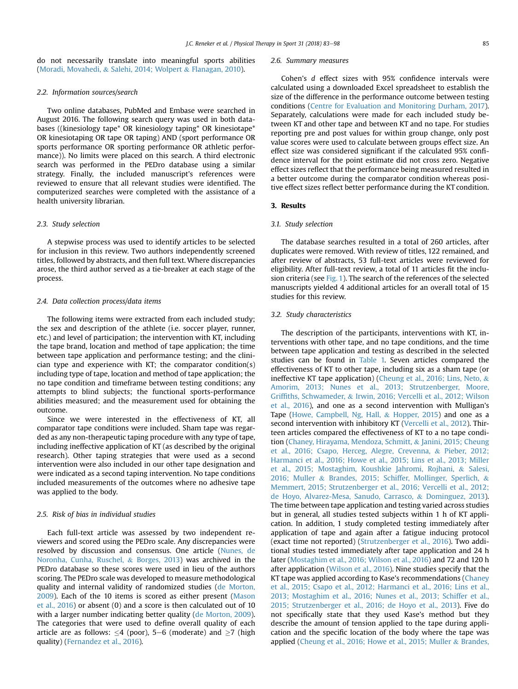do not necessarily translate into meaningful sports abilities ([Moradi, Movahedi,](#page-14-0) & [Salehi, 2014; Wolpert](#page-14-0) & [Flanagan, 2010\)](#page-14-0).

### 2.2. Information sources/search

Two online databases, PubMed and Embase were searched in August 2016. The following search query was used in both databases ((kinesiology tape\* OR kinesiology taping\* OR kinesiotape\* OR kinesiotaping OR tape OR taping) AND (sport performance OR sports performance OR sporting performance OR athletic performance)). No limits were placed on this search. A third electronic search was performed in the PEDro database using a similar strategy. Finally, the included manuscript's references were reviewed to ensure that all relevant studies were identified. The computerized searches were completed with the assistance of a health university librarian.

## 2.3. Study selection

A stepwise process was used to identify articles to be selected for inclusion in this review. Two authors independently screened titles, followed by abstracts, and then full text. Where discrepancies arose, the third author served as a tie-breaker at each stage of the process.

### 2.4. Data collection process/data items

The following items were extracted from each included study; the sex and description of the athlete (i.e. soccer player, runner, etc.) and level of participation; the intervention with KT, including the tape brand, location and method of tape application; the time between tape application and performance testing; and the clinician type and experience with KT; the comparator condition(s) including type of tape, location and method of tape application; the no tape condition and timeframe between testing conditions; any attempts to blind subjects; the functional sports-performance abilities measured; and the measurement used for obtaining the outcome.

Since we were interested in the effectiveness of KT, all comparator tape conditions were included. Sham tape was regarded as any non-therapeutic taping procedure with any type of tape, including ineffective application of KT (as described by the original research). Other taping strategies that were used as a second intervention were also included in our other tape designation and were indicated as a second taping intervention. No tape conditions included measurements of the outcomes where no adhesive tape was applied to the body.

## 2.5. Risk of bias in individual studies

Each full-text article was assessed by two independent reviewers and scored using the PEDro scale. Any discrepancies were resolved by discussion and consensus. One article ([Nunes, de](#page-14-0) [Noronha, Cunha, Ruschel,](#page-14-0) & [Borges, 2013\)](#page-14-0) was archived in the PEDro database so these scores were used in lieu of the authors scoring. The PEDro scale was developed to measure methodological quality and internal validity of randomized studies [\(de Morton,](#page-14-0) [2009\)](#page-14-0). Each of the 10 items is scored as either present [\(Mason](#page-14-0) [et al., 2016](#page-14-0)) or absent (0) and a score is then calculated out of 10 with a larger number indicating better quality ([de Morton, 2009\)](#page-14-0). The categories that were used to define overall quality of each article are as follows:  $\leq$ 4 (poor), 5–6 (moderate) and  $\geq$ 7 (high quality) [\(Fernandez et al., 2016\)](#page-14-0).

#### 2.6. Summary measures

Cohen's d effect sizes with 95% confidence intervals were calculated using a downloaded Excel spreadsheet to establish the size of the difference in the performance outcome between testing conditions [\(Centre for Evaluation and Monitoring Durham, 2017\)](#page-14-0). Separately, calculations were made for each included study between KT and other tape and between KT and no tape. For studies reporting pre and post values for within group change, only post value scores were used to calculate between groups effect size. An effect size was considered significant if the calculated 95% confidence interval for the point estimate did not cross zero. Negative effect sizes reflect that the performance being measured resulted in a better outcome during the comparator condition whereas positive effect sizes reflect better performance during the KT condition.

### 3. Results

### 3.1. Study selection

The database searches resulted in a total of 260 articles, after duplicates were removed. With review of titles, 122 remained, and after review of abstracts, 53 full-text articles were reviewed for eligibility. After full-text review, a total of 11 articles fit the inclusion criteria (see [Fig. 1](#page-3-0)). The search of the references of the selected manuscripts yielded 4 additional articles for an overall total of 15 studies for this review.

# 3.2. Study characteristics

The description of the participants, interventions with KT, interventions with other tape, and no tape conditions, and the time between tape application and testing as described in the selected studies can be found in [Table 1.](#page-4-0) Seven articles compared the effectiveness of KT to other tape, including six as a sham tape (or ineffective KT tape application) [\(Cheung et al., 2016; Lins, Neto,](#page-14-0) & [Amorim, 2013; Nunes et al., 2013; Strutzenberger, Moore,](#page-14-0) Griffi[ths, Schwameder,](#page-14-0) & [Irwin, 2016; Vercelli et al., 2012; Wilson](#page-14-0) [et al., 2016\)](#page-14-0), and one as a second intervention with Mulligan's Tape ([Howe, Campbell, Ng, Hall,](#page-14-0) & [Hopper, 2015](#page-14-0)) and one as a second intervention with inhibitory KT ([Vercelli et al., 2012\)](#page-14-0). Thirteen articles compared the effectiveness of KT to a no tape condition ([Chaney, Hirayama, Mendoza, Schmitt,](#page-14-0) & [Janini, 2015; Cheung](#page-14-0) [et al., 2016; Csapo, Herceg, Alegre, Crevenna,](#page-14-0) & [Pieber, 2012;](#page-14-0) [Harmanci et al., 2016; Howe et al., 2015; Lins et al., 2013; Miller](#page-14-0) [et al., 2015; Mostaghim, Koushkie Jahromi, Rojhani,](#page-14-0) & [Salesi,](#page-14-0) [2016; Muller](#page-14-0) & [Brandes, 2015; Schiffer, Mollinger, Sperlich,](#page-14-0) & [Memmert, 2015; Strutzenberger et al., 2016; Vercelli et al., 2012;](#page-14-0) [de Hoyo, Alvarez-Mesa, Sanudo, Carrasco,](#page-14-0) & [Dominguez, 2013\)](#page-14-0). The time between tape application and testing varied across studies but in general, all studies tested subjects within 1 h of KT application. In addition, 1 study completed testing immediately after application of tape and again after a fatigue inducing protocol (exact time not reported) ([Strutzenberger et al., 2016\)](#page-14-0). Two additional studies tested immediately after tape application and 24 h later ([Mostaghim et al., 2016; Wilson et al., 2016\)](#page-14-0) and 72 and 120 h after application ([Wilson et al., 2016\)](#page-15-0). Nine studies specify that the KT tape was applied according to Kase's recommendations ([Chaney](#page-14-0) [et al., 2015; Csapo et al., 2012; Harmanci et al., 2016; Lins et al.,](#page-14-0) [2013; Mostaghim et al., 2016; Nunes et al., 2013; Schiffer et al.,](#page-14-0) [2015; Strutzenberger et al., 2016; de Hoyo et al., 2013\)](#page-14-0). Five do not specifically state that they used Kase's method but they describe the amount of tension applied to the tape during application and the specific location of the body where the tape was applied [\(Cheung et al., 2016; Howe et al., 2015; Muller](#page-14-0) & [Brandes,](#page-14-0)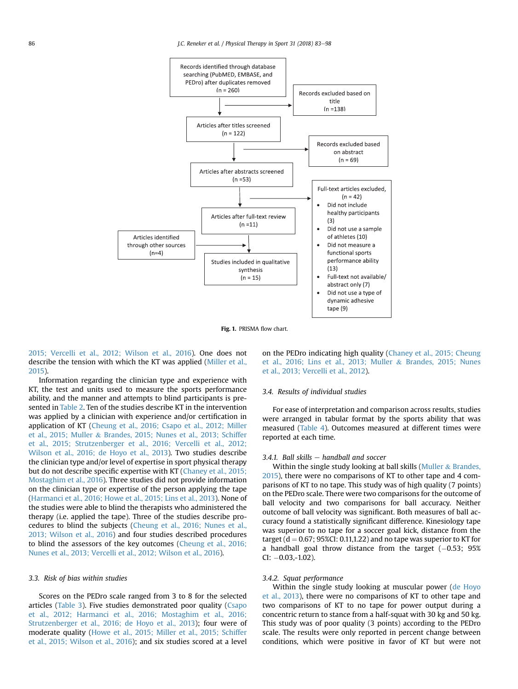<span id="page-3-0"></span>

Fig. 1. PRISMA flow chart.

[2015; Vercelli et al., 2012; Wilson et al., 2016](#page-14-0)). One does not describe the tension with which the KT was applied [\(Miller et al.,](#page-14-0) [2015](#page-14-0)).

Information regarding the clinician type and experience with KT, the test and units used to measure the sports performance ability, and the manner and attempts to blind participants is presented in [Table 2.](#page-6-0) Ten of the studies describe KT in the intervention was applied by a clinician with experience and/or certification in application of KT [\(Cheung et al., 2016; Csapo et al., 2012; Miller](#page-14-0) [et al., 2015; Muller](#page-14-0) & [Brandes, 2015; Nunes et al., 2013; Schiffer](#page-14-0) [et al., 2015; Strutzenberger et al., 2016; Vercelli et al., 2012;](#page-14-0) [Wilson et al., 2016; de Hoyo et al., 2013](#page-14-0)). Two studies describe the clinician type and/or level of expertise in sport physical therapy but do not describe specific expertise with KT ([Chaney et al., 2015;](#page-14-0) [Mostaghim et al., 2016](#page-14-0)). Three studies did not provide information on the clinician type or expertise of the person applying the tape ([Harmanci et al., 2016; Howe et al., 2015; Lins et al., 2013](#page-14-0)). None of the studies were able to blind the therapists who administered the therapy (i.e. applied the tape). Three of the studies describe procedures to blind the subjects [\(Cheung et al., 2016; Nunes et al.,](#page-14-0) [2013; Wilson et al., 2016\)](#page-14-0) and four studies described procedures to blind the assessors of the key outcomes [\(Cheung et al., 2016;](#page-14-0) [Nunes et al., 2013; Vercelli et al., 2012; Wilson et al., 2016\)](#page-14-0).

#### 3.3. Risk of bias within studies

Scores on the PEDro scale ranged from 3 to 8 for the selected articles ([Table 3\)](#page-7-0). Five studies demonstrated poor quality ([Csapo](#page-14-0) [et al., 2012; Harmanci et al., 2016; Mostaghim et al., 2016;](#page-14-0) [Strutzenberger et al., 2016; de Hoyo et al., 2013](#page-14-0)); four were of moderate quality [\(Howe et al., 2015; Miller et al., 2015; Schiffer](#page-14-0) [et al., 2015; Wilson et al., 2016\)](#page-14-0); and six studies scored at a level on the PEDro indicating high quality ([Chaney et al., 2015; Cheung](#page-14-0) [et al., 2016; Lins et al., 2013; Muller](#page-14-0) & [Brandes, 2015; Nunes](#page-14-0) [et al., 2013; Vercelli et al., 2012](#page-14-0)).

### 3.4. Results of individual studies

For ease of interpretation and comparison across results, studies were arranged in tabular format by the sports ability that was measured [\(Table 4](#page-9-0)). Outcomes measured at different times were reported at each time.

## $3.4.1.$  Ball skills  $-$  handball and soccer

Within the single study looking at ball skills ([Muller](#page-14-0)  $&$  [Brandes,](#page-14-0) [2015\)](#page-14-0), there were no comparisons of KT to other tape and 4 comparisons of KT to no tape. This study was of high quality (7 points) on the PEDro scale. There were two comparisons for the outcome of ball velocity and two comparisons for ball accuracy. Neither outcome of ball velocity was significant. Both measures of ball accuracy found a statistically significant difference. Kinesiology tape was superior to no tape for a soccer goal kick, distance from the target ( $d = 0.67$ ; 95%CI: 0.11,1.22) and no tape was superior to KT for a handball goal throw distance from the target  $(-0.53; 95%)$  $CI: -0.03,-1.02$ ).

### 3.4.2. Squat performance

Within the single study looking at muscular power [\(de Hoyo](#page-14-0) [et al., 2013](#page-14-0)), there were no comparisons of KT to other tape and two comparisons of KT to no tape for power output during a concentric return to stance from a half-squat with 30 kg and 50 kg. This study was of poor quality (3 points) according to the PEDro scale. The results were only reported in percent change between conditions, which were positive in favor of KT but were not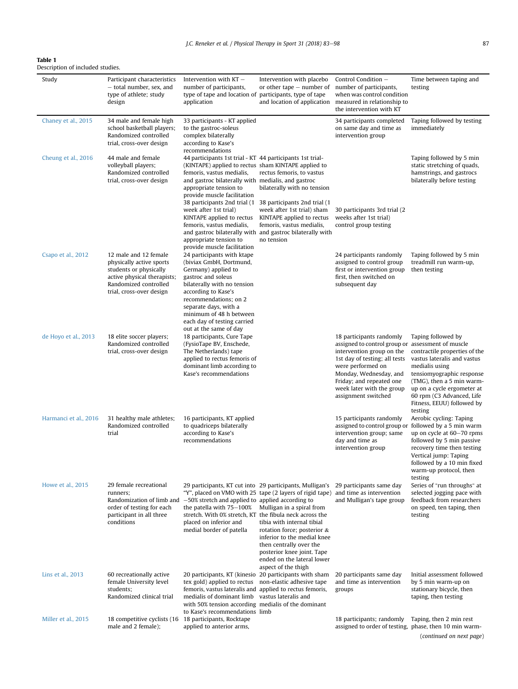<span id="page-4-0"></span>

Description of included studies.

| Study                 | Participant characteristics<br>- total number, sex, and<br>type of athlete; study<br>design                                                                     | Intervention with $KT -$<br>number of participants,<br>type of tape and location of participants, type of tape<br>application                                                                                                                                                                                                                                                                                                            | Intervention with placebo<br>or other tape $-$ number of                                                                                                                                                                                                                                                                 | Control Condition -<br>number of participants,<br>when was control condition<br>and location of application measured in relationship to<br>the intervention with KT                                                                                                        | Time between taping and<br>testing                                                                                                                                                                                                                                 |
|-----------------------|-----------------------------------------------------------------------------------------------------------------------------------------------------------------|------------------------------------------------------------------------------------------------------------------------------------------------------------------------------------------------------------------------------------------------------------------------------------------------------------------------------------------------------------------------------------------------------------------------------------------|--------------------------------------------------------------------------------------------------------------------------------------------------------------------------------------------------------------------------------------------------------------------------------------------------------------------------|----------------------------------------------------------------------------------------------------------------------------------------------------------------------------------------------------------------------------------------------------------------------------|--------------------------------------------------------------------------------------------------------------------------------------------------------------------------------------------------------------------------------------------------------------------|
| Chaney et al., 2015   | 34 male and female high<br>school basketball players;<br>Randomized controlled<br>trial, cross-over design                                                      | 33 participants - KT applied<br>to the gastroc-soleus<br>complex bilaterally<br>according to Kase's<br>recommendations                                                                                                                                                                                                                                                                                                                   |                                                                                                                                                                                                                                                                                                                          | 34 participants completed<br>on same day and time as<br>intervention group                                                                                                                                                                                                 | Taping followed by testing<br>immediately                                                                                                                                                                                                                          |
| Cheung et al., 2016   | 44 male and female<br>volleyball players;<br>Randomized controlled<br>trial, cross-over design                                                                  | 44 participants 1st trial - KT 44 participants 1st trial-<br>(KINTAPE) applied to rectus sham KINTAPE applied to<br>femoris, vastus medialis,<br>and gastroc bilaterally with medialis, and gastroc<br>appropriate tension to<br>provide muscle facilitation<br>38 participants 2nd trial (1<br>week after 1st trial)<br>KINTAPE applied to rectus<br>femoris, vastus medialis,<br>appropriate tension to<br>provide muscle facilitation | rectus femoris, to vastus<br>bilaterally with no tension<br>38 participants 2nd trial (1<br>week after 1st trial) sham<br>KINTAPE applied to rectus<br>femoris, vastus medialis,<br>and gastroc bilaterally with and gastroc bilaterally with<br>no tension                                                              | 30 participants 3rd trial (2)<br>weeks after 1st trial)<br>control group testing                                                                                                                                                                                           | Taping followed by 5 min<br>static stretching of quads,<br>hamstrings, and gastrocs<br>bilaterally before testing                                                                                                                                                  |
| Csapo et al., 2012    | 12 male and 12 female<br>physically active sports<br>students or physically<br>active physical therapists;<br>Randomized controlled<br>trial, cross-over design | 24 participants with ktape<br>(biviax GmbH, Dortmund,<br>Germany) applied to<br>gastroc and soleus<br>bilaterally with no tension<br>according to Kase's<br>recommendations; on 2<br>separate days, with a<br>minimum of 48 h between<br>each day of testing carried<br>out at the same of day                                                                                                                                           |                                                                                                                                                                                                                                                                                                                          | 24 participants randomly<br>assigned to control group<br>first or intervention group<br>first, then switched on<br>subsequent day                                                                                                                                          | Taping followed by 5 min<br>treadmill run warm-up,<br>then testing                                                                                                                                                                                                 |
| de Hoyo et al., 2013  | 18 elite soccer players;<br>Randomized controlled<br>trial, cross-over design                                                                                   | 18 participants, Cure Tape<br>(FysioTape BV, Enschede,<br>The Netherlands) tape<br>applied to rectus femoris of<br>dominant limb according to<br>Kase's recommendations                                                                                                                                                                                                                                                                  |                                                                                                                                                                                                                                                                                                                          | 18 participants randomly<br>assigned to control group or assessment of muscle<br>intervention group on the<br>1st day of testing; all tests<br>were performed on<br>Monday, Wednesday, and<br>Friday; and repeated one<br>week later with the group<br>assignment switched | Taping followed by<br>contractile properties of the<br>vastus lateralis and vastus<br>medialis using<br>tensiomyographic response<br>(TMG), then a 5 min warm-<br>up on a cycle ergometer at<br>60 rpm (C3 Advanced, Life<br>Fitness, EEUU) followed by<br>testing |
| Harmanci et al., 2016 | 31 healthy male athletes;<br>Randomized controlled<br>trial                                                                                                     | 16 participants, KT applied<br>to quadriceps bilaterally<br>according to Kase's<br>recommendations                                                                                                                                                                                                                                                                                                                                       |                                                                                                                                                                                                                                                                                                                          | 15 participants randomly<br>assigned to control group or<br>intervention group; same<br>day and time as<br>intervention group                                                                                                                                              | Aerobic cycling: Taping<br>followed by a 5 min warm<br>up on cycle at 60-70 rpms<br>followed by 5 min passive<br>recovery time then testing<br>Vertical jump: Taping<br>followed by a 10 min fixed<br>warm-up protocol, then<br>testing                            |
| Howe et al., 2015     | 29 female recreational<br>runners;<br>Randomization of limb and<br>order of testing for each<br>participant in all three<br>conditions                          | 29 participants, KT cut into 29 participants, Mulligan's<br>$-50\%$ stretch and applied to applied according to<br>the patella with $75-100\%$<br>stretch. With 0% stretch, KT the fibula neck across the<br>placed on inferior and<br>medial border of patella                                                                                                                                                                          | "Y", placed on VMO with 25 tape (2 layers of rigid tape) and time as intervention<br>Mulligan in a spiral from<br>tibia with internal tibial<br>rotation force; posterior &<br>inferior to the medial knee<br>then centrally over the<br>posterior knee joint. Tape<br>ended on the lateral lower<br>aspect of the thigh | 29 participants same day<br>and Mulligan's tape group                                                                                                                                                                                                                      | Series of "run throughs" at<br>selected jogging pace with<br>feedback from researchers<br>on speed, ten taping, then<br>testing                                                                                                                                    |
| Lins et al., 2013     | 60 recreationally active<br>female University level<br>students;<br>Randomized clinical trial                                                                   | 20 participants, KT (kinesio<br>tex gold) applied to rectus<br>femoris, vastus lateralis and applied to rectus femoris,<br>medialis of dominant limb vastus lateralis and<br>with 50% tension according medialis of the dominant<br>to Kase's recommendations limb                                                                                                                                                                       | 20 participants with sham<br>non-elastic adhesive tape                                                                                                                                                                                                                                                                   | 20 participants same day<br>and time as intervention<br>groups                                                                                                                                                                                                             | Initial assessment followed<br>by 5 min warm-up on<br>stationary bicycle, then<br>taping, then testing                                                                                                                                                             |
| Miller et al., 2015   | 18 competitive cyclists (16<br>male and 2 female);                                                                                                              | 18 participants, Rocktape<br>applied to anterior arms,                                                                                                                                                                                                                                                                                                                                                                                   |                                                                                                                                                                                                                                                                                                                          | 18 participants; randomly<br>assigned to order of testing, phase, then 10 min warm-                                                                                                                                                                                        | Taping, then 2 min rest<br>(continued on next page)                                                                                                                                                                                                                |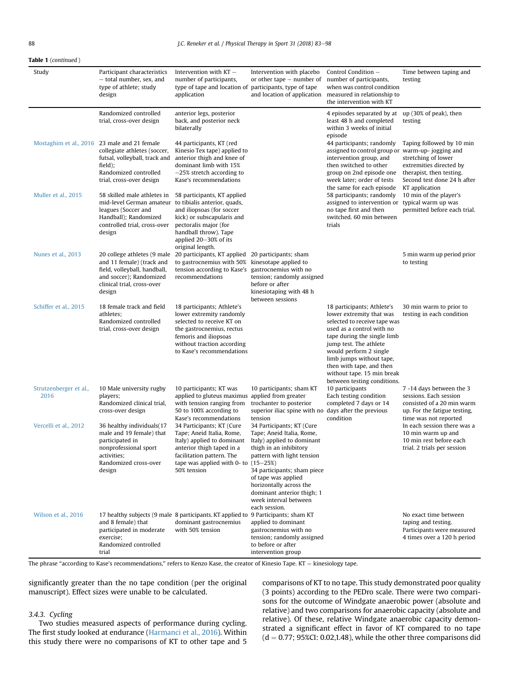### Table 1 (continued )

| Study                          | Participant characteristics<br>- total number, sex, and<br>type of athlete; study<br>design                                                                                   | Intervention with $KT -$<br>number of participants,<br>type of tape and location of participants, type of tape<br>application                                                                                         | Intervention with placebo<br>or other tape $-$ number of<br>and location of application                                                                                                                                                                                                               | Control Condition -<br>number of participants,<br>when was control condition<br>measured in relationship to<br>the intervention with KT                                                                                                                                                                                     | Time between taping and<br>testing                                                                                                        |
|--------------------------------|-------------------------------------------------------------------------------------------------------------------------------------------------------------------------------|-----------------------------------------------------------------------------------------------------------------------------------------------------------------------------------------------------------------------|-------------------------------------------------------------------------------------------------------------------------------------------------------------------------------------------------------------------------------------------------------------------------------------------------------|-----------------------------------------------------------------------------------------------------------------------------------------------------------------------------------------------------------------------------------------------------------------------------------------------------------------------------|-------------------------------------------------------------------------------------------------------------------------------------------|
|                                | Randomized controlled<br>trial, cross-over design                                                                                                                             | anterior legs, posterior<br>back, and posterior neck<br>bilaterally                                                                                                                                                   |                                                                                                                                                                                                                                                                                                       | 4 episodes separated by at<br>least 48 h and completed<br>within 3 weeks of initial                                                                                                                                                                                                                                         | up (30% of peak), then<br>testing                                                                                                         |
|                                | Mostaghim et al., 2016 23 male and 21 female<br>collegiate athletes (soccer,<br>futsal, volleyball, track and<br>field);<br>Randomized controlled<br>trial, cross-over design | 44 participants, KT (red<br>Kinesio Tex tape) applied to<br>anterior thigh and knee of<br>dominant limb with 15%<br>$-25\%$ stretch according to<br>Kase's recommendations                                            |                                                                                                                                                                                                                                                                                                       | episode<br>44 participants; randomly<br>assigned to control group or warm-up-jogging and<br>intervention group, and<br>then switched to other<br>group on 2nd episode one<br>week later; order of tests                                                                                                                     | Taping followed by 10 min<br>stretching of lower<br>extremities directed by<br>therapist, then testing.<br>Second test done 24 h after    |
| Muller et al., 2015            | 58 skilled male athletes in<br>mid-level German amateur<br>leagues (Soccer and<br>Handball); Randomized<br>controlled trial, cross-over<br>design                             | 58 participants, KT applied<br>to tibialis anterior, quads,<br>and iliopsoas (for soccer<br>kick) or subscapularis and<br>pectoralis major (for<br>handball throw). Tape<br>applied 20-30% of its<br>original length. |                                                                                                                                                                                                                                                                                                       | the same for each episode<br>58 participants; randomly<br>assigned to intervention or typical warm up was<br>no tape first and then<br>switched, 60 min between<br>trials                                                                                                                                                   | KT application<br>10 min of the player's<br>permitted before each trial.                                                                  |
| Nunes et al., 2013             | 20 college athletes (9 male<br>and 11 female) (track and<br>field, volleyball, handball,<br>and soccer); Randomized<br>clinical trial, cross-over<br>design                   | 20 participants, KT applied 20 participants; sham<br>to gastrocnemius with 50% kinesotape applied to<br>tension according to Kase's<br>recommendations                                                                | gastrocnemius with no<br>tension; randomly assigned<br>before or after<br>kinesiotaping with 48 h<br>between sessions                                                                                                                                                                                 |                                                                                                                                                                                                                                                                                                                             | 5 min warm up period prior<br>to testing                                                                                                  |
| Schiffer et al., 2015          | 18 female track and field<br>athletes;<br>Randomized controlled<br>trial, cross-over design                                                                                   | 18 participants; Athlete's<br>lower extremity randomly<br>selected to receive KT on<br>the gastrocnemius, rectus<br>femoris and iliopsoas<br>without traction according<br>to Kase's recommendations                  |                                                                                                                                                                                                                                                                                                       | 18 participants; Athlete's<br>lower extremity that was<br>selected to receive tape was<br>used as a control with no<br>tape during the single limb<br>jump test. The athlete<br>would perform 2 single<br>limb jumps without tape,<br>then with tape, and then<br>without tape. 15 min break<br>between testing conditions. | 30 min warm to prior to<br>testing in each condition                                                                                      |
| Strutzenberger et al.,<br>2016 | 10 Male university rugby<br>players;<br>Randomized clinical trial,<br>cross-over design                                                                                       | 10 participants; KT was<br>applied to gluteus maximus applied from greater<br>with tension ranging from<br>50 to 100% according to<br>Kase's recommendations                                                          | 10 participants; sham KT<br>trochanter to posterior<br>superior iliac spine with no days after the previous<br>tension                                                                                                                                                                                | 10 participants<br>Each testing condition<br>completed 7 days or 14<br>condition                                                                                                                                                                                                                                            | 7 -14 days between the 3<br>sessions. Each session<br>consisted of a 20 min warm<br>up. For the fatigue testing,<br>time was not reported |
| Vercelli et al., 2012          | 36 healthy individuals(17<br>male and 19 female) that<br>participated in<br>nonprofessional sport<br>activities;<br>Randomized cross-over<br>design                           | 34 Participants; KT (Cure<br>Tape; Aneid Italia, Rome,<br>Italy) applied to dominant<br>anterior thigh taped in a<br>facilitation pattern. The<br>tape was applied with 0- to $(15-25%)$<br>50% tension               | 34 Participants; KT (Cure<br>Tape; Aneid Italia, Rome,<br>Italy) applied to dominant<br>thigh in an inhibitory<br>pattern with light tension<br>34 participants; sham piece<br>of tape was applied<br>horizontally across the<br>dominant anterior thigh; 1<br>week interval between<br>each session. |                                                                                                                                                                                                                                                                                                                             | In each session there was a<br>10 min warm up and<br>10 min rest before each<br>trial. 2 trials per session                               |
| Wilson et al., 2016            | and 8 female) that<br>participated in moderate<br>exercise;<br>Randomized controlled<br>trial                                                                                 | 17 healthy subjects (9 male 8 participants. KT applied to 9 Participants; sham KT<br>dominant gastrocnemius<br>with 50% tension                                                                                       | applied to dominant<br>gastrocnemius with no<br>tension; randomly assigned<br>to before or after<br>intervention group                                                                                                                                                                                |                                                                                                                                                                                                                                                                                                                             | No exact time between<br>taping and testing.<br>Participants were measured<br>4 times over a 120 h period                                 |

The phrase "according to Kase's recommendations," refers to Kenzo Kase, the creator of Kinesio Tape.  $KT =$  kinesiology tape.

significantly greater than the no tape condition (per the original manuscript). Effect sizes were unable to be calculated.

# 3.4.3. Cycling

Two studies measured aspects of performance during cycling. The first study looked at endurance [\(Harmanci et al., 2016](#page-14-0)). Within this study there were no comparisons of KT to other tape and 5 comparisons of KT to no tape. This study demonstrated poor quality (3 points) according to the PEDro scale. There were two comparisons for the outcome of Windgate anaerobic power (absolute and relative) and two comparisons for anaerobic capacity (absolute and relative). Of these, relative Windgate anaerobic capacity demonstrated a significant effect in favor of KT compared to no tape  $(d = 0.77; 95\% CI: 0.02, 1.48)$ , while the other three comparisons did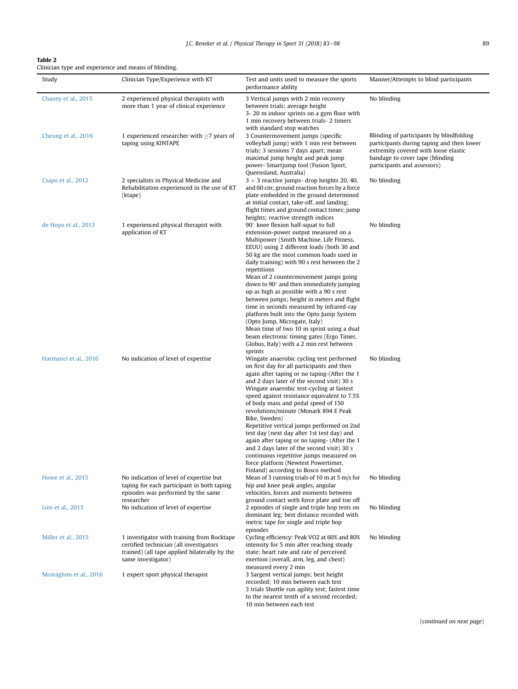# <span id="page-6-0"></span>Table 2

| Clinician type and experience and means of blinding. |  |  |  |
|------------------------------------------------------|--|--|--|
|------------------------------------------------------|--|--|--|

| Study                  | Clinician Type/Experience with KT                                                                                                                            | Test and units used to measure the sports<br>performance ability                                                                                                                                                                                                                                                                                                                                                                                                                                                                                                                                                                                                                                                                               | Manner/Attempts to blind participants                                                                                                                                                           |
|------------------------|--------------------------------------------------------------------------------------------------------------------------------------------------------------|------------------------------------------------------------------------------------------------------------------------------------------------------------------------------------------------------------------------------------------------------------------------------------------------------------------------------------------------------------------------------------------------------------------------------------------------------------------------------------------------------------------------------------------------------------------------------------------------------------------------------------------------------------------------------------------------------------------------------------------------|-------------------------------------------------------------------------------------------------------------------------------------------------------------------------------------------------|
| Chaney et al., 2015    | 2 experienced physical therapists with<br>more than 1 year of clinical experience                                                                            | 3 Vertical jumps with 2 min recovery<br>between trials; average height<br>3-20 m indoor sprints on a gym floor with<br>1 min recovery between trials-2 timers<br>with standard stop watches                                                                                                                                                                                                                                                                                                                                                                                                                                                                                                                                                    | No blinding                                                                                                                                                                                     |
| Cheung et al., 2016    | 1 experienced researcher with $\geq$ 7 years of<br>taping using KINTAPE                                                                                      | 3 Countermovement jumps (specific<br>volleyball jump) with 1 min rest between<br>trials; 3 sessions 7 days apart; mean<br>maximal jump height and peak jump<br>power- Smartjump tool (Fusion Sport,<br>Queensland, Australia)                                                                                                                                                                                                                                                                                                                                                                                                                                                                                                                  | Blinding of participants by blindfolding<br>participants during taping and then lower<br>extremity covered with loose elastic<br>bandage to cover tape (blinding<br>participants and assessors) |
| Csapo et al., 2012     | 2 specialists in Physical Medicine and<br>Rehabilitation experienced in the use of KT<br>(ktape)                                                             | $3 \times 3$ reactive jumps- drop heights 20, 40,<br>and 60 cm; ground reaction forces by a force<br>plate embedded in the ground determined<br>at initial contact, take-off, and landing;<br>flight times and ground contact times; jump<br>heights; reactive strength indices                                                                                                                                                                                                                                                                                                                                                                                                                                                                | No blinding                                                                                                                                                                                     |
| de Hoyo et al., 2013   | 1 experienced physical therapist with<br>application of KT                                                                                                   | 90° knee flexion half-squat to full<br>extension-power output measured on a<br>Multipower (Smith Machine, Life Fitness,<br>EEUU) using 2 different loads (both 30 and<br>50 kg are the most common loads used in<br>daily training) with 90 s rest between the 2<br>repetitions<br>Mean of 2 countermovement jumps going<br>down to $90^\circ$ and then immediately jumping<br>up as high as possible with a 90 s rest<br>between jumps; height in meters and flight<br>time in seconds measured by infrared-ray<br>platform built into the Opto Jump System<br>(Opto Jump, Microgate, Italy)<br>Mean time of two 10 m sprint using a dual<br>beam electronic timing gates (Ergo Timer,<br>Globus, Italy) with a 2 min rest between<br>sprints | No blinding                                                                                                                                                                                     |
| Harmanci et al., 2016  | No indication of level of expertise                                                                                                                          | Wingate anaerobic cycling test performed<br>on first day for all participants and then<br>again after taping or no taping-(After the 1<br>and 2 days later of the second visit) 30 s<br>Wingate anaerobic test-cycling at fastest<br>speed against resistance equivalent to 7.5%<br>of body mass and pedal speed of 150<br>revolutions/minute (Monark 894 E Peak<br>Bike, Sweden)<br>Repetitive vertical jumps performed on 2nd<br>test day (next day after 1st test day) and<br>again after taping or no taping- (After the 1<br>and 2 days later of the second visit) 30 s<br>continuous repetitive jumps measured on<br>force platform (Newtest Powertimer,<br>Finland) according to Bosco method                                           | No blinding                                                                                                                                                                                     |
| Howe et al., 2015      | No indication of level of expertise but<br>taping for each participant in both taping<br>episodes was performed by the same<br>researcher                    | Mean of 3 running trials of 10 m at 5 m/s for<br>hip and knee peak angles, angular<br>velocities, forces and moments between<br>ground contact with force plate and toe off                                                                                                                                                                                                                                                                                                                                                                                                                                                                                                                                                                    | No blinding                                                                                                                                                                                     |
| Lins et al., 2013      | No indication of level of expertise                                                                                                                          | 2 episodes of single and triple hop tests on<br>dominant leg; best distance recorded with<br>metric tape for single and triple hop<br>episodes                                                                                                                                                                                                                                                                                                                                                                                                                                                                                                                                                                                                 | No blinding                                                                                                                                                                                     |
| Miller et al., 2015    | 1 investigator with training from Rocktape<br>certified technician (all investigators<br>trained) (all tape applied bilaterally by the<br>same investigator) | Cycling efficiency: Peak VO2 at 60% and 80%<br>intensity for 5 min after reaching steady<br>state; heart rate and rate of perceived<br>exertion (overall, arm, leg, and chest)<br>measured every 2 min                                                                                                                                                                                                                                                                                                                                                                                                                                                                                                                                         | No blinding                                                                                                                                                                                     |
| Mostaghim et al., 2016 | 1 expert sport physical therapist                                                                                                                            | 3 Sargent vertical jumps; best height<br>recorded; 10 min between each test<br>3 trials Shuttle run agility test; fastest time<br>to the nearest tenth of a second recorded;<br>10 min between each test                                                                                                                                                                                                                                                                                                                                                                                                                                                                                                                                       |                                                                                                                                                                                                 |

(continued on next page)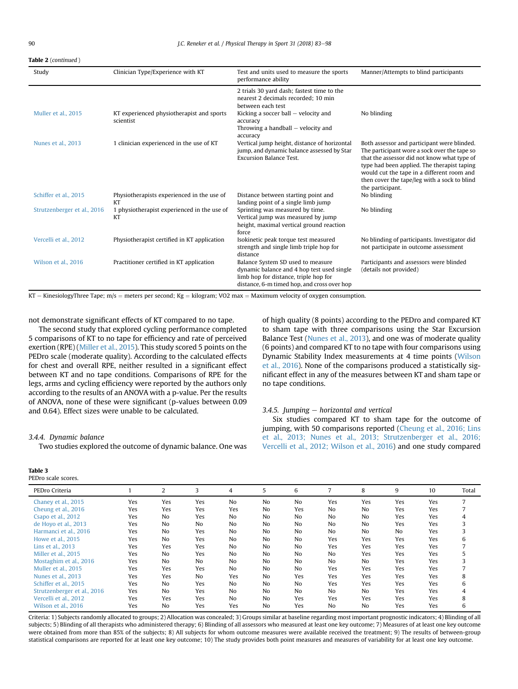<span id="page-7-0"></span>Table 2 (continued )

| Study                       | Clinician Type/Experience with KT                      | Test and units used to measure the sports<br>performance ability                                                                                                        | Manner/Attempts to blind participants                                                                                                                                                                                                                                                                       |
|-----------------------------|--------------------------------------------------------|-------------------------------------------------------------------------------------------------------------------------------------------------------------------------|-------------------------------------------------------------------------------------------------------------------------------------------------------------------------------------------------------------------------------------------------------------------------------------------------------------|
|                             |                                                        | 2 trials 30 yard dash; fastest time to the<br>nearest 2 decimals recorded; 10 min<br>between each test                                                                  |                                                                                                                                                                                                                                                                                                             |
| Muller et al., 2015         | KT experienced physiotherapist and sports<br>scientist | Kicking a soccer ball $-$ velocity and<br>accuracy<br>Throwing a handball $-$ velocity and<br>accuracy                                                                  | No blinding                                                                                                                                                                                                                                                                                                 |
| Nunes et al., 2013          | 1 clinician experienced in the use of KT               | Vertical jump height, distance of horizontal<br>jump, and dynamic balance assessed by Star<br><b>Excursion Balance Test.</b>                                            | Both assessor and participant were blinded.<br>The participant wore a sock over the tape so<br>that the assessor did not know what type of<br>type had been applied. The therapist taping<br>would cut the tape in a different room and<br>then cover the tape/leg with a sock to blind<br>the participant. |
| Schiffer et al., 2015       | Physiotherapists experienced in the use of<br>KT       | Distance between starting point and<br>landing point of a single limb jump                                                                                              | No blinding                                                                                                                                                                                                                                                                                                 |
| Strutzenberger et al., 2016 | 1 physiotherapist experienced in the use of<br>KT      | Sprinting was measured by time.<br>Vertical jump was measured by jump<br>height, maximal vertical ground reaction<br>force                                              | No blinding                                                                                                                                                                                                                                                                                                 |
| Vercelli et al., 2012       | Physiotherapist certified in KT application            | Isokinetic peak torque test measured<br>strength and single limb triple hop for<br>distance                                                                             | No blinding of participants. Investigator did<br>not participate in outcome assessment                                                                                                                                                                                                                      |
| Wilson et al., 2016         | Practitioner certified in KT application               | Balance System SD used to measure<br>dynamic balance and 4 hop test used single<br>limb hop for distance, triple hop for<br>distance, 6-m timed hop, and cross over hop | Participants and assessors were blinded<br>(details not provided)                                                                                                                                                                                                                                           |

KT – KinesiologyThree Tape; m/s = meters per second; Kg = kilogram; VO2 max = Maximum velocity of oxygen consumption.

not demonstrate significant effects of KT compared to no tape.

The second study that explored cycling performance completed 5 comparisons of KT to no tape for efficiency and rate of perceived exertion (RPE) [\(Miller et al., 2015\)](#page-14-0). This study scored 5 points on the PEDro scale (moderate quality). According to the calculated effects for chest and overall RPE, neither resulted in a significant effect between KT and no tape conditions. Comparisons of RPE for the legs, arms and cycling efficiency were reported by the authors only according to the results of an ANOVA with a p-value. Per the results of ANOVA, none of these were significant (p-values between 0.09 and 0.64). Effect sizes were unable to be calculated.

### 3.4.4. Dynamic balance

Two studies explored the outcome of dynamic balance. One was

# Table 3

PEDro scale scores.

of high quality (8 points) according to the PEDro and compared KT to sham tape with three comparisons using the Star Excursion Balance Test ([Nunes et al., 2013\)](#page-14-0), and one was of moderate quality (6 points) and compared KT to no tape with four comparisons using Dynamic Stability Index measurements at 4 time points [\(Wilson](#page-15-0) [et al., 2016\)](#page-15-0). None of the comparisons produced a statistically significant effect in any of the measures between KT and sham tape or no tape conditions.

# $3.4.5.$  Jumping  $-$  horizontal and vertical

Six studies compared KT to sham tape for the outcome of jumping, with 50 comparisons reported ([Cheung et al., 2016; Lins](#page-14-0) [et al., 2013; Nunes et al., 2013; Strutzenberger et al., 2016;](#page-14-0) [Vercelli et al., 2012; Wilson et al., 2016\)](#page-14-0) and one study compared

| PEDro Criteria              |     | 2   | 3              | 4   | 5  | 6              | 7              | 8              | 9   | 10  | Total |
|-----------------------------|-----|-----|----------------|-----|----|----------------|----------------|----------------|-----|-----|-------|
| Chaney et al., 2015         | Yes | Yes | Yes            | No  | No | N <sub>0</sub> | Yes            | Yes            | Yes | Yes | 7     |
| Cheung et al., 2016         | Yes | Yes | Yes            | Yes | No | Yes            | N <sub>0</sub> | N <sub>o</sub> | Yes | Yes |       |
| Csapo et al., 2012          | Yes | No  | Yes            | No  | No | N <sub>0</sub> | N <sub>0</sub> | N <sub>o</sub> | Yes | Yes | 4     |
| de Hoyo et al., 2013        | Yes | No  | N <sub>o</sub> | No  | No | N <sub>0</sub> | N <sub>0</sub> | N <sub>o</sub> | Yes | Yes | 3     |
| Harmanci et al., 2016       | Yes | No  | Yes            | No  | No | N <sub>0</sub> | N <sub>0</sub> | N <sub>o</sub> | No  | Yes | 3     |
| Howe et al., 2015           | Yes | No  | Yes            | No  | No | N <sub>0</sub> | Yes            | Yes            | Yes | Yes | 6     |
| Lins et al., 2013           | Yes | Yes | Yes            | No  | No | N <sub>0</sub> | Yes            | Yes            | Yes | Yes |       |
| Miller et al., 2015         | Yes | No  | Yes            | No  | No | N <sub>0</sub> | No             | Yes            | Yes | Yes | 5     |
| Mostaghim et al., 2016      | Yes | No  | No             | No  | No | N <sub>0</sub> | N <sub>0</sub> | No             | Yes | Yes | 3     |
| Muller et al., 2015         | Yes | Yes | Yes            | No  | No | N <sub>0</sub> | Yes            | Yes            | Yes | Yes |       |
| Nunes et al., 2013          | Yes | Yes | No             | Yes | No | Yes            | Yes            | Yes            | Yes | Yes | 8     |
| Schiffer et al., 2015       | Yes | No  | Yes            | No  | No | N <sub>0</sub> | Yes            | Yes            | Yes | Yes | 6     |
| Strutzenberger et al., 2016 | Yes | No  | Yes            | No  | No | N <sub>0</sub> | No             | No             | Yes | Yes | 4     |
| Vercelli et al., 2012       | Yes | Yes | Yes            | No  | No | Yes            | Yes            | Yes            | Yes | Yes | 8     |
| Wilson et al., 2016         | Yes | No  | Yes            | Yes | No | Yes            | N <sub>0</sub> | No             | Yes | Yes | 6     |

Criteria: 1) Subjects randomly allocated to groups; 2) Allocation was concealed; 3) Groups similar at baseline regarding most important prognostic indicators; 4) Blinding of all subjects; 5) Blinding of all therapists who administered therapy; 6) Blinding of all assessors who measured at least one key outcome; 7) Measures of at least one key outcome were obtained from more than 85% of the subjects; 8) All subjects for whom outcome measures were available received the treatment; 9) The results of between-group statistical comparisons are reported for at least one key outcome; 10) The study provides both point measures and measures of variability for at least one key outcome.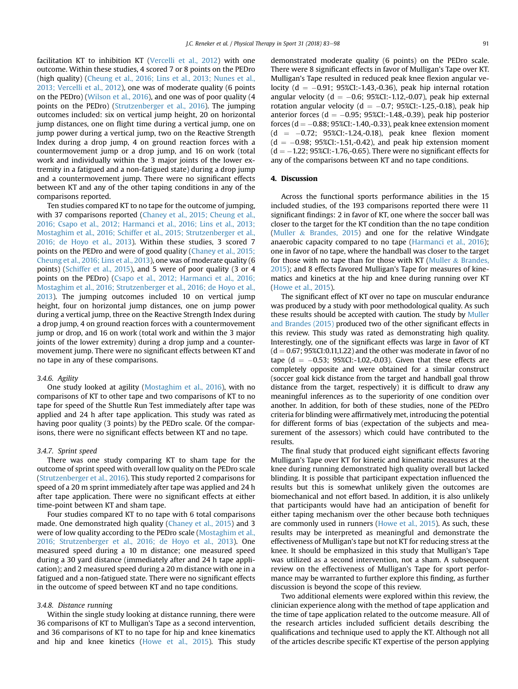facilitation KT to inhibition KT ([Vercelli et al., 2012](#page-14-0)) with one outcome. Within these studies, 4 scored 7 or 8 points on the PEDro (high quality) ([Cheung et al., 2016; Lins et al., 2013; Nunes et al.,](#page-14-0) [2013; Vercelli et al., 2012](#page-14-0)), one was of moderate quality (6 points on the PEDro) ([Wilson et al., 2016\)](#page-15-0), and one was of poor quality (4 points on the PEDro) [\(Strutzenberger et al., 2016\)](#page-14-0). The jumping outcomes included: six on vertical jump height, 20 on horizontal jump distances, one on flight time during a vertical jump, one on jump power during a vertical jump, two on the Reactive Strength Index during a drop jump, 4 on ground reaction forces with a countermovement jump or a drop jump, and 16 on work (total work and individually within the 3 major joints of the lower extremity in a fatigued and a non-fatigued state) during a drop jump and a countermovement jump. There were no significant effects between KT and any of the other taping conditions in any of the comparisons reported.

Ten studies compared KT to no tape for the outcome of jumping, with 37 comparisons reported [\(Chaney et al., 2015; Cheung et al.,](#page-14-0) [2016; Csapo et al., 2012; Harmanci et al., 2016; Lins et al., 2013;](#page-14-0) [Mostaghim et al., 2016; Schiffer et al., 2015; Strutzenberger et al.,](#page-14-0) [2016; de Hoyo et al., 2013](#page-14-0)). Within these studies, 3 scored 7 points on the PEDro and were of good quality [\(Chaney et al., 2015;](#page-14-0) [Cheung et al., 2016; Lins et al., 2013\)](#page-14-0), one was of moderate quality (6 points) [\(Schiffer et al., 2015\)](#page-14-0), and 5 were of poor quality (3 or 4 points on the PEDro) ([Csapo et al., 2012; Harmanci et al., 2016;](#page-14-0) [Mostaghim et al., 2016; Strutzenberger et al., 2016; de Hoyo et al.,](#page-14-0) [2013\)](#page-14-0). The jumping outcomes included 10 on vertical jump height, four on horizontal jump distances, one on jump power during a vertical jump, three on the Reactive Strength Index during a drop jump, 4 on ground reaction forces with a countermovement jump or drop, and 16 on work (total work and within the 3 major joints of the lower extremity) during a drop jump and a countermovement jump. There were no significant effects between KT and no tape in any of these comparisons.

### 3.4.6. Agility

One study looked at agility [\(Mostaghim et al., 2016\)](#page-14-0), with no comparisons of KT to other tape and two comparisons of KT to no tape for speed of the Shuttle Run Test immediately after tape was applied and 24 h after tape application. This study was rated as having poor quality (3 points) by the PEDro scale. Of the comparisons, there were no significant effects between KT and no tape.

### 3.4.7. Sprint speed

There was one study comparing KT to sham tape for the outcome of sprint speed with overall low quality on the PEDro scale ([Strutzenberger et al., 2016\)](#page-14-0). This study reported 2 comparisons for speed of a 20 m sprint immediately after tape was applied and 24 h after tape application. There were no significant effects at either time-point between KT and sham tape.

Four studies compared KT to no tape with 6 total comparisons made. One demonstrated high quality ([Chaney et al., 2015\)](#page-14-0) and 3 were of low quality according to the PEDro scale ([Mostaghim et al.,](#page-14-0) [2016; Strutzenberger et al., 2016; de Hoyo et al., 2013](#page-14-0)). One measured speed during a 10 m distance; one measured speed during a 30 yard distance (immediately after and 24 h tape application); and 2 measured speed during a 20 m distance with one in a fatigued and a non-fatigued state. There were no significant effects in the outcome of speed between KT and no tape conditions.

### 3.4.8. Distance running

Within the single study looking at distance running, there were 36 comparisons of KT to Mulligan's Tape as a second intervention, and 36 comparisons of KT to no tape for hip and knee kinematics and hip and knee kinetics ([Howe et al., 2015\)](#page-14-0). This study demonstrated moderate quality (6 points) on the PEDro scale. There were 8 significant effects in favor of Mulligan's Tape over KT. Mulligan's Tape resulted in reduced peak knee flexion angular velocity ( $d = -0.91$ ; 95%CI:-1.43,-0.36), peak hip internal rotation angular velocity ( $d = -0.6$ ; 95%CI:-1.12,-0.07), peak hip external rotation angular velocity ( $d = -0.7$ ; 95%CI:-1.25,-0.18), peak hip anterior forces ( $d = -0.95$ ; 95%CI:-1.48,-0.39), peak hip posterior forces ( $d = -0.88$ ; 95%CI:-1.40,-0.33), peak knee extension moment  $(d = -0.72; 95\% CI:-1.24,-0.18)$ , peak knee flexion moment  $(d = -0.98; 95\% CI:-1.51,-0.42)$ , and peak hip extension moment  $(d = -1.22; 95\% CI: -1.76, -0.65)$ . There were no significant effects for any of the comparisons between KT and no tape conditions.

### 4. Discussion

Across the functional sports performance abilities in the 15 included studies, of the 193 comparisons reported there were 11 significant findings: 2 in favor of KT, one where the soccer ball was closer to the target for the KT condition than the no tape condition ([Muller](#page-14-0) & [Brandes, 2015\)](#page-14-0) and one for the relative Windgate anaerobic capacity compared to no tape ([Harmanci et al., 2016\)](#page-14-0); one in favor of no tape, where the handball was closer to the target for those with no tape than for those with KT [\(Muller](#page-14-0)  $&$  [Brandes,](#page-14-0) [2015\)](#page-14-0); and 8 effects favored Mulligan's Tape for measures of kinematics and kinetics at the hip and knee during running over KT ([Howe et al., 2015\)](#page-14-0).

The significant effect of KT over no tape on muscular endurance was produced by a study with poor methodological quality. As such these results should be accepted with caution. The study by [Muller](#page-14-0) [and Brandes \(2015\)](#page-14-0) produced two of the other significant effects in this review. This study was rated as demonstrating high quality. Interestingly, one of the significant effects was large in favor of KT  $(d = 0.67; 95\% CI: 0.11, 1.22)$  and the other was moderate in favor of no tape  $(d = -0.53; 95\% CI:-1.02,-0.03)$ . Given that these effects are completely opposite and were obtained for a similar construct (soccer goal kick distance from the target and handball goal throw distance from the target, respectively) it is difficult to draw any meaningful inferences as to the superiority of one condition over another. In addition, for both of these studies, none of the PEDro criteria for blinding were affirmatively met, introducing the potential for different forms of bias (expectation of the subjects and measurement of the assessors) which could have contributed to the results.

The final study that produced eight significant effects favoring Mulligan's Tape over KT for kinetic and kinematic measures at the knee during running demonstrated high quality overall but lacked blinding. It is possible that participant expectation influenced the results but this is somewhat unlikely given the outcomes are biomechanical and not effort based. In addition, it is also unlikely that participants would have had an anticipation of benefit for either taping mechanism over the other because both techniques are commonly used in runners ([Howe et al., 2015\)](#page-14-0). As such, these results may be interpreted as meaningful and demonstrate the effectiveness of Mulligan's tape but not KT for reducing stress at the knee. It should be emphasized in this study that Mulligan's Tape was utilized as a second intervention, not a sham. A subsequent review on the effectiveness of Mulligan's Tape for sport performance may be warranted to further explore this finding, as further discussion is beyond the scope of this review.

Two additional elements were explored within this review, the clinician experience along with the method of tape application and the time of tape application related to the outcome measure. All of the research articles included sufficient details describing the qualifications and technique used to apply the KT. Although not all of the articles describe specific KT expertise of the person applying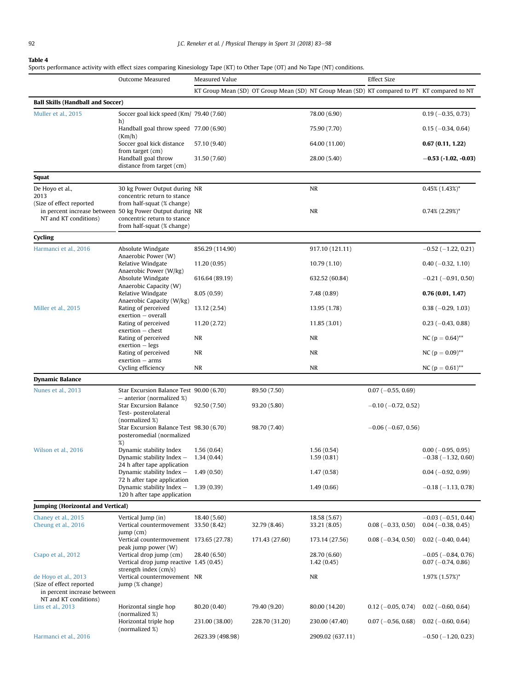#### <span id="page-9-0"></span>Table 4

Sports performance activity with effect sizes comparing Kinesiology Tape (KT) to Other Tape (OT) and No Tape (NT) conditions.

|                                                         | Outcome Measured                                                                         | Measured Value   |                                                                                              |                              | <b>Effect Size</b>          |                                                   |
|---------------------------------------------------------|------------------------------------------------------------------------------------------|------------------|----------------------------------------------------------------------------------------------|------------------------------|-----------------------------|---------------------------------------------------|
|                                                         |                                                                                          |                  | KT Group Mean (SD) OT Group Mean (SD) NT Group Mean (SD) KT compared to PT KT compared to NT |                              |                             |                                                   |
| <b>Ball Skills (Handball and Soccer)</b>                |                                                                                          |                  |                                                                                              |                              |                             |                                                   |
| Muller et al., 2015                                     | Soccer goal kick speed (Km/ 79.40 (7.60)                                                 |                  |                                                                                              | 78.00 (6.90)                 |                             | $0.19(-0.35, 0.73)$                               |
|                                                         | h)<br>Handball goal throw speed 77.00 (6.90)                                             |                  |                                                                                              | 75.90 (7.70)                 |                             | $0.15(-0.34, 0.64)$                               |
|                                                         | (Km/h)<br>Soccer goal kick distance                                                      | 57.10 (9.40)     |                                                                                              | 64.00 (11.00)                |                             | 0.67(0.11, 1.22)                                  |
|                                                         | from target (cm)<br>Handball goal throw<br>distance from target (cm)                     | 31.50 (7.60)     |                                                                                              | 28.00 (5.40)                 |                             | $-0.53$ (-1.02, -0.03)                            |
| Squat                                                   |                                                                                          |                  |                                                                                              |                              |                             |                                                   |
| De Hoyo et al.,                                         | 30 kg Power Output during NR                                                             |                  |                                                                                              | <b>NR</b>                    |                             | $0.45\%$ $(1.43\%)^*$                             |
| 2013<br>(Size of effect reported                        | concentric return to stance<br>from half-squat (% change)                                |                  |                                                                                              |                              |                             |                                                   |
|                                                         | in percent increase between 50 kg Power Output during NR                                 |                  |                                                                                              | <b>NR</b>                    |                             | $0.74\%$ (2.29%) <sup>*</sup>                     |
| NT and KT conditions)                                   | concentric return to stance                                                              |                  |                                                                                              |                              |                             |                                                   |
|                                                         | from half-squat (% change)                                                               |                  |                                                                                              |                              |                             |                                                   |
| Cycling                                                 |                                                                                          |                  |                                                                                              |                              |                             |                                                   |
| Harmanci et al., 2016                                   | Absolute Windgate<br>Anaerobic Power (W)                                                 | 856.29 (114.90)  |                                                                                              | 917.10 (121.11)              |                             | $-0.52$ ( $-1.22$ , 0.21)                         |
|                                                         | Relative Windgate<br>Anaerobic Power (W/kg)                                              | 11.20(0.95)      |                                                                                              | 10.79(1.10)                  |                             | $0.40$ (-0.32, 1.10)                              |
|                                                         | Absolute Windgate                                                                        | 616.64 (89.19)   |                                                                                              | 632.52 (60.84)               |                             | $-0.21(-0.91, 0.50)$                              |
|                                                         | Anaerobic Capacity (W)<br>Relative Windgate                                              | 8.05(0.59)       |                                                                                              | 7.48 (0.89)                  |                             | 0.76(0.01, 1.47)                                  |
| Miller et al., 2015                                     | Anaerobic Capacity (W/kg)<br>Rating of perceived                                         | 13.12 (2.54)     |                                                                                              | 13.95 (1.78)                 |                             | $0.38(-0.29, 1.03)$                               |
|                                                         | exertion - overall<br>Rating of perceived                                                | 11.20(2.72)      |                                                                                              | 11.85(3.01)                  |                             | $0.23 (-0.43, 0.88)$                              |
|                                                         | $extion - chest$<br>Rating of perceived                                                  | <b>NR</b>        |                                                                                              | <b>NR</b>                    |                             | NC ( $p = 0.64$ )**                               |
|                                                         | $extion - legs$<br>Rating of perceived                                                   | <b>NR</b>        |                                                                                              | <b>NR</b>                    |                             | NC ( $p = 0.09$ )**                               |
|                                                         | $extion - arms$<br>Cycling efficiency                                                    | NR               |                                                                                              | NR                           |                             | NC ( $p = 0.61$ )**                               |
| <b>Dynamic Balance</b>                                  |                                                                                          |                  |                                                                                              |                              |                             |                                                   |
| Nunes et al., 2013                                      | Star Excursion Balance Test 90.00 (6.70)                                                 |                  | 89.50 (7.50)                                                                                 |                              | $0.07 (-0.55, 0.69)$        |                                                   |
|                                                         | $-$ anterior (normalized %)<br><b>Star Excursion Balance</b>                             | 92.50 (7.50)     | 93.20 (5.80)                                                                                 |                              | $-0.10$ ( $-0.72$ , 0.52)   |                                                   |
|                                                         | Test-posterolateral<br>(normalized %)                                                    |                  |                                                                                              |                              |                             |                                                   |
|                                                         | Star Excursion Balance Test 98.30 (6.70)                                                 |                  | 98.70 (7.40)                                                                                 |                              | $-0.06$ ( $-0.67$ , 0.56)   |                                                   |
|                                                         | posteromedial (normalized<br>%)                                                          |                  |                                                                                              |                              |                             |                                                   |
| Wilson et al., 2016                                     | Dynamic stability Index                                                                  | 1.56(0.64)       |                                                                                              | 1.56(0.54)                   |                             | $0.00 (-0.95, 0.95)$                              |
|                                                         | Dynamic stability Index -<br>24 h after tape application                                 | 1.34(0.44)       |                                                                                              | 1.59(0.81)                   |                             | $-0.38$ ( $-1.32$ , 0.60)                         |
|                                                         | Dynamic stability Index -                                                                | 1.49(0.50)       |                                                                                              | 1.47(0.58)                   |                             | $0.04 (-0.92, 0.99)$                              |
|                                                         | 72 h after tape application<br>Dynamic stability Index -<br>120 h after tape application | 1.39(0.39)       |                                                                                              | 1.49(0.66)                   |                             | $-0.18$ ( $-1.13$ , 0.78)                         |
| <b>Jumping (Horizontal and Vertical)</b>                |                                                                                          |                  |                                                                                              |                              |                             |                                                   |
|                                                         |                                                                                          |                  |                                                                                              |                              |                             |                                                   |
| Chaney et al., 2015<br>Cheung et al., 2016              | Vertical Jump (in)<br>Vertical countermovement 33.50 (8.42)                              | 18.40 (5.60)     | 32.79 (8.46)                                                                                 | 18.58 (5.67)<br>33.21 (8.05) | $0.08$ ( $-0.33$ , $0.50$ ) | $-0.03$ ( $-0.51$ , 0.44)<br>$0.04 (-0.38, 0.45)$ |
|                                                         | $jump$ (cm)<br>Vertical countermovement 173.65 (27.78)                                   |                  | 171.43 (27.60)                                                                               | 173.14 (27.56)               | $0.08$ ( $-0.34$ , $0.50$ ) | $0.02$ (-0.40, 0.44)                              |
| Csapo et al., 2012                                      | peak jump power (W)<br>Vertical drop jump (cm)                                           | 28.40 (6.50)     |                                                                                              | 28.70 (6.60)                 |                             | $-0.05$ ( $-0.84$ , 0.76)                         |
|                                                         | Vertical drop jump reactive 1.45 (0.45)<br>strength index $(cm/s)$                       |                  |                                                                                              | 1.42(0.45)                   |                             | $0.07 (-0.74, 0.86)$                              |
| de Hoyo et al., 2013                                    | Vertical countermovement NR                                                              |                  |                                                                                              | <b>NR</b>                    |                             | 1.97% (1.57%)*                                    |
| (Size of effect reported<br>in percent increase between | jump (% change)                                                                          |                  |                                                                                              |                              |                             |                                                   |
| NT and KT conditions)                                   |                                                                                          |                  |                                                                                              |                              |                             |                                                   |
| Lins et al., 2013                                       | Horizontal single hop<br>(normalized %)                                                  | 80.20 (0.40)     | 79.40 (9.20)                                                                                 | 80.00 (14.20)                | $0.12$ (-0.05, 0.74)        | $0.02$ (-0.60, 0.64)                              |
|                                                         | Horizontal triple hop<br>(normalized %)                                                  | 231.00 (38.00)   | 228.70 (31.20)                                                                               | 230.00 (47.40)               | $0.07 (-0.56, 0.68)$        | $0.02$ (-0.60, 0.64)                              |
| Harmanci et al., 2016                                   |                                                                                          | 2623.39 (498.98) |                                                                                              | 2909.02 (637.11)             |                             | $-0.50$ ( $-1.20$ , 0.23)                         |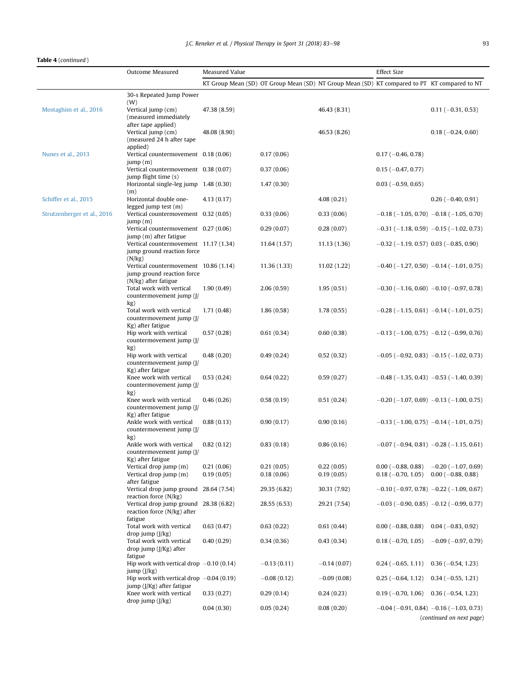# Table 4 (continued )

|                             | Outcome Measured                                                                               | Measured Value           |                                                                                              |                          | <b>Effect Size</b>                               |                                                                                 |
|-----------------------------|------------------------------------------------------------------------------------------------|--------------------------|----------------------------------------------------------------------------------------------|--------------------------|--------------------------------------------------|---------------------------------------------------------------------------------|
|                             |                                                                                                |                          | KT Group Mean (SD) OT Group Mean (SD) NT Group Mean (SD) KT compared to PT KT compared to NT |                          |                                                  |                                                                                 |
|                             | 30-s Repeated Jump Power                                                                       |                          |                                                                                              |                          |                                                  |                                                                                 |
| Mostaghim et al., 2016      | (W)<br>Vertical jump (cm)<br>(measured immediately                                             | 47.38 (8.59)             |                                                                                              | 46.43 (8.31)             |                                                  | $0.11 (-0.31, 0.53)$                                                            |
|                             | after tape applied)<br>Vertical jump (cm)<br>(measured 24 h after tape                         | 48.08 (8.90)             |                                                                                              | 46.53 (8.26)             |                                                  | $0.18(-0.24, 0.60)$                                                             |
| Nunes et al., 2013          | applied)<br>Vertical countermovement 0.18 (0.06)<br>jump(m)                                    |                          | 0.17(0.06)                                                                                   |                          | $0.17 (-0.46, 0.78)$                             |                                                                                 |
|                             | Vertical countermovement 0.38 (0.07)                                                           |                          | 0.37(0.06)                                                                                   |                          | $0.15(-0.47, 0.77)$                              |                                                                                 |
|                             | jump flight time (s)<br>Horizontal single-leg jump 1.48 (0.30)                                 |                          | 1.47(0.30)                                                                                   |                          | $0.03$ (-0.59, 0.65)                             |                                                                                 |
| Schiffer et al., 2015       | (m)<br>Horizontal double one-                                                                  | 4.13(0.17)               |                                                                                              | 4.08(0.21)               |                                                  | $0.26 (-0.40, 0.91)$                                                            |
| Strutzenberger et al., 2016 | legged jump test (m)<br>Vertical countermovement 0.32 (0.05)                                   |                          | 0.33(0.06)                                                                                   | 0.33(0.06)               |                                                  | $-0.18$ (-1.05, 0.70) $-0.18$ (-1.05, 0.70)                                     |
|                             | jump(m)<br>Vertical countermovement 0.27 (0.06)                                                |                          | 0.29(0.07)                                                                                   | 0.28(0.07)               |                                                  | $-0.31$ (-1.18, 0.59) -0.15 (-1.02, 0.73)                                       |
|                             | jump (m) after fatigue<br>Vertical countermovement 11.17 (1.34)<br>jump ground reaction force  |                          | 11.64 (1.57)                                                                                 | 11.13(1.36)              | $-0.32$ (-1.19, 0.57) 0.03 (-0.85, 0.90)         |                                                                                 |
|                             | (N/kg)<br>Vertical countermovement 10.86 (1.14)<br>jump ground reaction force                  |                          | 11.36 (1.33)                                                                                 | 11.02(1.22)              |                                                  | $-0.40$ (-1.27, 0.50) -0.14 (-1.01, 0.75)                                       |
|                             | (N/kg) after fatigue<br>Total work with vertical<br>countermovement jump (J/                   | 1.90(0.49)               | 2.06(0.59)                                                                                   | 1.95(0.51)               |                                                  | $-0.30$ (-1.16, 0.60) -0.10 (-0.97, 0.78)                                       |
|                             | kg)<br>Total work with vertical<br>countermovement jump (J/                                    | 1.71(0.48)               | 1.86(0.58)                                                                                   | 1.78(0.55)               |                                                  | $-0.28$ (-1.15, 0.61) -0.14 (-1.01, 0.75)                                       |
|                             | Kg) after fatigue<br>Hip work with vertical<br>countermovement jump (J/                        | 0.57(0.28)               | 0.61(0.34)                                                                                   | 0.60(0.38)               |                                                  | $-0.13$ ( $-1.00$ , 0.75) $-0.12$ ( $-0.99$ , 0.76)                             |
|                             | kg)<br>Hip work with vertical<br>countermovement jump (J/                                      | 0.48(0.20)               | 0.49(0.24)                                                                                   | 0.52(0.32)               |                                                  | $-0.05$ ( $-0.92$ , 0.83) $-0.15$ ( $-1.02$ , 0.73)                             |
|                             | Kg) after fatigue<br>Knee work with vertical<br>countermovement jump (J/                       | 0.53(0.24)               | 0.64(0.22)                                                                                   | 0.59(0.27)               |                                                  | $-0.48$ (-1.35, 0.43) $-0.53$ (-1.40, 0.39)                                     |
|                             | kg)<br>Knee work with vertical<br>countermovement jump (J/                                     | 0.46(0.26)               | 0.58(0.19)                                                                                   | 0.51(0.24)               |                                                  | $-0.20$ (-1.07, 0.69) -0.13 (-1.00, 0.75)                                       |
|                             | Kg) after fatigue<br>Ankle work with vertical<br>countermovement jump (J/                      | 0.88(0.13)               | 0.90(0.17)                                                                                   | 0.90(0.16)               |                                                  | $-0.13$ (-1.00, 0.75) $-0.14$ (-1.01, 0.75)                                     |
|                             | kg)<br>Ankle work with vertical<br>countermovement jump (J/                                    | 0.82(0.12)               | 0.83(0.18)                                                                                   | 0.86(0.16)               |                                                  | $-0.07$ ( $-0.94$ , 0.81) $-0.28$ ( $-1.15$ , 0.61)                             |
|                             | Kg) after fatigue<br>Vertical drop jump (m)<br>Vertical drop jump (m)                          | 0.21(0.06)<br>0.19(0.05) | 0.21(0.05)<br>0.18(0.06)                                                                     | 0.22(0.05)<br>0.19(0.05) | $0.00$ ( $-0.88$ , 0.88)<br>$0.18 (-0.70, 1.05)$ | $-0.20$ ( $-1.07$ , 0.69)<br>$0.00$ ( $-0.88$ , 0.88)                           |
|                             | after fatigue<br>Vertical drop jump ground 28.64 (7.54)                                        |                          | 29.35 (6.82)                                                                                 | 30.31 (7.92)             |                                                  | $-0.10$ ( $-0.97$ , 0.78) $-0.22$ ( $-1.09$ , 0.67)                             |
|                             | reaction force (N/kg)<br>Vertical drop jump ground 28.38 (6.82)<br>reaction force (N/kg) after |                          | 28.55 (6.53)                                                                                 | 29.21 (7.54)             |                                                  | $-0.03$ ( $-0.90$ , 0.85) $-0.12$ ( $-0.99$ , 0.77)                             |
|                             | fatigue<br>Total work with vertical                                                            | 0.63(0.47)               | 0.63(0.22)                                                                                   | 0.61(0.44)               | $0.00$ ( $-0.88$ , 0.88)                         | $0.04 (-0.83, 0.92)$                                                            |
|                             | drop jump (J/kg)<br>Total work with vertical<br>drop jump (J/Kg) after                         | 0.40(0.29)               | 0.34(0.36)                                                                                   | 0.43(0.34)               | $0.18 (-0.70, 1.05)$                             | $-0.09$ ( $-0.97, 0.79$ )                                                       |
|                             | fatigue<br>Hip work with vertical drop $-0.10$ (0.14)<br>jump (I/kg)                           |                          | $-0.13(0.11)$                                                                                | $-0.14(0.07)$            | $0.24 (-0.65, 1.11)$                             | $0.36(-0.54, 1.23)$                                                             |
|                             | Hip work with vertical drop $-0.04$ (0.19)<br>jump (J/Kg) after fatigue                        |                          | $-0.08(0.12)$                                                                                | $-0.09(0.08)$            | $0.25$ (-0.64, 1.12)                             | $0.34 (-0.55, 1.21)$                                                            |
|                             | Knee work with vertical<br>drop jump (J/kg)                                                    | 0.33(0.27)               | 0.29(0.14)                                                                                   | 0.24(0.23)               | $0.19(-0.70, 1.06)$                              | $0.36(-0.54, 1.23)$                                                             |
|                             |                                                                                                | 0.04(0.30)               | 0.05(0.24)                                                                                   | 0.08(0.20)               |                                                  | $-0.04$ ( $-0.91$ , 0.84) $-0.16$ ( $-1.03$ , 0.73)<br>(continued on next page) |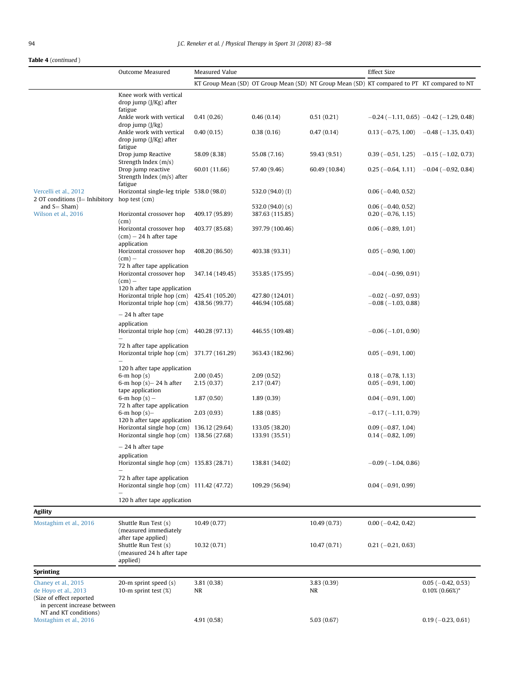# Table 4 (continued )

|                                                                                | Outcome Measured                                                                                                        | Measured Value          |                                                                                              |                  | <b>Effect Size</b>                                     |                                                   |  |
|--------------------------------------------------------------------------------|-------------------------------------------------------------------------------------------------------------------------|-------------------------|----------------------------------------------------------------------------------------------|------------------|--------------------------------------------------------|---------------------------------------------------|--|
|                                                                                |                                                                                                                         |                         | KT Group Mean (SD) OT Group Mean (SD) NT Group Mean (SD) KT compared to PT KT compared to NT |                  |                                                        |                                                   |  |
|                                                                                | Knee work with vertical<br>drop jump (J/Kg) after                                                                       |                         |                                                                                              |                  |                                                        |                                                   |  |
|                                                                                | fatigue<br>Ankle work with vertical                                                                                     | 0.41(0.26)              | 0.46(0.14)                                                                                   | 0.51(0.21)       |                                                        | $-0.24$ (-1.11, 0.65) -0.42 (-1.29, 0.48)         |  |
|                                                                                | drop jump (J/kg)<br>Ankle work with vertical<br>drop jump (J/Kg) after                                                  | 0.40(0.15)              | 0.38(0.16)                                                                                   | 0.47(0.14)       |                                                        | $0.13 (-0.75, 1.00) -0.48 (-1.35, 0.43)$          |  |
|                                                                                | fatigue<br>Drop jump Reactive<br>Strength Index (m/s)                                                                   | 58.09 (8.38)            | 55.08 (7.16)                                                                                 | 59.43 (9.51)     | $0.39(-0.51, 1.25)$                                    | $-0.15$ ( $-1.02$ , 0.73)                         |  |
|                                                                                | Drop jump reactive<br>Strength Index (m/s) after                                                                        | 60.01 (11.66)           | 57.40 (9.46)                                                                                 | 60.49 (10.84)    | $0.25(-0.64, 1.11)$                                    | $-0.04$ ( $-0.92$ , 0.84)                         |  |
| Vercelli et al., 2012<br>2 OT conditions $(I = Inhibitory)$                    | fatigue<br>Horizontal single-leg triple 538.0 (98.0)<br>hop test (cm)                                                   |                         | 532.0 (94.0) (I)                                                                             |                  | $0.06$ ( $-0.40$ , $0.52$ )                            |                                                   |  |
| and $S = Sham$ )                                                               |                                                                                                                         |                         | 532.0 $(94.0)$ $(s)$                                                                         |                  | $0.06$ ( $-0.40$ , $0.52$ )                            |                                                   |  |
| Wilson et al., 2016                                                            | Horizontal crossover hop<br>(cm)                                                                                        | 409.17 (95.89)          | 387.63 (115.85)                                                                              |                  | $0.20 (-0.76, 1.15)$                                   |                                                   |  |
|                                                                                | Horizontal crossover hop<br>$(cm) - 24 h$ after tape                                                                    | 403.77 (85.68)          | 397.79 (100.46)                                                                              |                  | $0.06$ ( $-0.89$ , 1.01)                               |                                                   |  |
|                                                                                | application<br>Horizontal crossover hop<br>$(cm)$ –                                                                     | 408.20 (86.50)          | 403.38 (93.31)                                                                               |                  | $0.05$ ( $-0.90$ , 1.00)                               |                                                   |  |
|                                                                                | 72 h after tape application<br>Horizontal crossover hop<br>$(cm)$ –                                                     | 347.14 (149.45)         | 353.85 (175.95)                                                                              |                  | $-0.04$ ( $-0.99$ , 0.91)                              |                                                   |  |
|                                                                                | 120 h after tape application<br>Horizontal triple hop (cm) 425.41 (105.20)<br>Horizontal triple hop (cm) 438.56 (99.77) |                         | 427.80 (124.01)<br>446.94 (105.68)                                                           |                  | $-0.02$ ( $-0.97, 0.93$ )<br>$-0.08$ ( $-1.03$ , 0.88) |                                                   |  |
|                                                                                | - 24 h after tape                                                                                                       |                         |                                                                                              |                  |                                                        |                                                   |  |
|                                                                                | application<br>Horizontal triple hop (cm) 440.28 (97.13)                                                                |                         | 446.55 (109.48)                                                                              |                  | $-0.06$ ( $-1.01$ , 0.90)                              |                                                   |  |
|                                                                                | 72 h after tape application<br>Horizontal triple hop (cm)                                                               | 371.77 (161.29)         | 363.43 (182.96)                                                                              |                  | $0.05$ ( $-0.91$ , 1.00)                               |                                                   |  |
|                                                                                | 120 h after tape application<br>$6-m$ hop $(s)$                                                                         | 2.00(0.45)              | 2.09(0.52)                                                                                   |                  | $0.18 (-0.78, 1.13)$                                   |                                                   |  |
|                                                                                | 6-m hop $(s)$ – 24 h after                                                                                              | 2.15(0.37)              | 2.17(0.47)                                                                                   |                  | $0.05 (-0.91, 1.00)$                                   |                                                   |  |
|                                                                                | tape application<br>6-m hop $(s)$ –                                                                                     | 1.87(0.50)              | 1.89(0.39)                                                                                   |                  | $0.04 (-0.91, 1.00)$                                   |                                                   |  |
|                                                                                | 72 h after tape application<br>6-m hop $(s)$ -                                                                          | 2.03(0.93)              | 1.88(0.85)                                                                                   |                  | $-0.17(-1.11, 0.79)$                                   |                                                   |  |
|                                                                                | 120 h after tape application<br>Horizontal single hop (cm) 136.12 (29.64)<br>Horizontal single hop (cm) 138.56 (27.68)  |                         | 133.05 (38.20)<br>133.91 (35.51)                                                             |                  | $0.09$ ( $-0.87$ , 1.04)<br>$0.14 (-0.82, 1.09)$       |                                                   |  |
|                                                                                | $-24$ h after tape                                                                                                      |                         |                                                                                              |                  |                                                        |                                                   |  |
|                                                                                | application<br>Horizontal single hop (cm) 135.83 (28.71)                                                                |                         | 138.81 (34.02)                                                                               |                  | $-0.09(-1.04, 0.86)$                                   |                                                   |  |
|                                                                                | 72 h after tape application<br>Horizontal single hop (cm) 111.42 (47.72)                                                |                         | 109.29 (56.94)                                                                               |                  | $0.04 (-0.91, 0.99)$                                   |                                                   |  |
|                                                                                | 120 h after tape application                                                                                            |                         |                                                                                              |                  |                                                        |                                                   |  |
| <b>Agility</b>                                                                 |                                                                                                                         |                         |                                                                                              |                  |                                                        |                                                   |  |
| Mostaghim et al., 2016                                                         | Shuttle Run Test (s)<br>(measured immediately                                                                           | 10.49(0.77)             |                                                                                              | 10.49 (0.73)     | $0.00 (-0.42, 0.42)$                                   |                                                   |  |
|                                                                                | after tape applied)<br>Shuttle Run Test (s)<br>(measured 24 h after tape<br>applied)                                    | 10.32(0.71)             |                                                                                              | 10.47(0.71)      | $0.21 (-0.21, 0.63)$                                   |                                                   |  |
| <b>Sprinting</b>                                                               |                                                                                                                         |                         |                                                                                              |                  |                                                        |                                                   |  |
| Chaney et al., 2015<br>de Hoyo et al., 2013<br>(Size of effect reported        | 20-m sprint speed (s)<br>10-m sprint test $(\%)$                                                                        | 3.81(0.38)<br><b>NR</b> |                                                                                              | 3.83(0.39)<br>NR |                                                        | $0.05$ ( $-0.42$ , 0.53)<br>$0.10\%$ $(0.66\%)^*$ |  |
| in percent increase between<br>NT and KT conditions)<br>Mostaghim et al., 2016 |                                                                                                                         | 4.91 (0.58)             |                                                                                              | 5.03(0.67)       |                                                        | $0.19(-0.23, 0.61)$                               |  |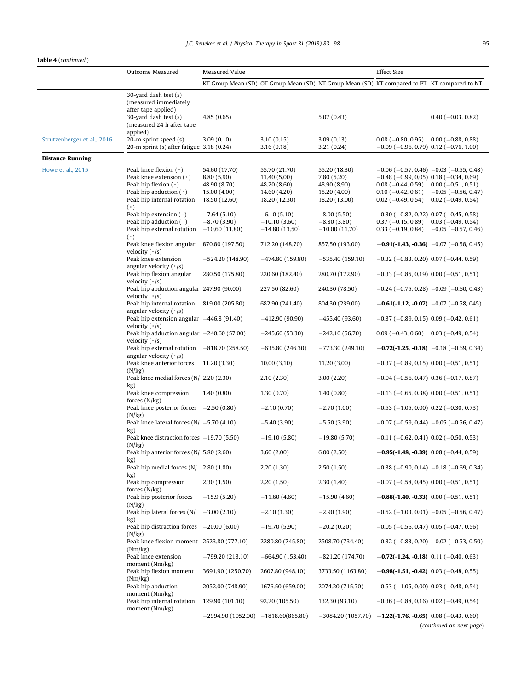$\rightarrow$ 

|                             | Outcome Measured                                                                | Measured Value                       |                                 | <b>Effect Size</b>                                                                           |                                                                         |                                                     |
|-----------------------------|---------------------------------------------------------------------------------|--------------------------------------|---------------------------------|----------------------------------------------------------------------------------------------|-------------------------------------------------------------------------|-----------------------------------------------------|
|                             |                                                                                 |                                      |                                 | KT Group Mean (SD) OT Group Mean (SD) NT Group Mean (SD) KT compared to PT KT compared to NT |                                                                         |                                                     |
|                             | 30-yard dash test (s)                                                           |                                      |                                 |                                                                                              |                                                                         |                                                     |
|                             | (measured immediately<br>after tape applied)                                    |                                      |                                 |                                                                                              |                                                                         |                                                     |
|                             | 30-yard dash test (s)                                                           | 4.85(0.65)                           |                                 | 5.07(0.43)                                                                                   |                                                                         | $0.40$ ( $-0.03$ , $0.82$ )                         |
|                             | (measured 24 h after tape<br>applied)                                           |                                      |                                 |                                                                                              |                                                                         |                                                     |
| Strutzenberger et al., 2016 | 20-m sprint speed (s)                                                           | 3.09(0.10)                           | 3.10(0.15)                      | 3.09(0.13)                                                                                   | $0.08$ ( $-0.80$ , 0.95)                                                | $0.00$ ( $-0.88$ , 0.88)                            |
| <b>Distance Running</b>     | 20-m sprint $(s)$ after fatigue 3.18 $(0.24)$                                   |                                      | 3.16(0.18)                      | 3.21(0.24)                                                                                   | $-0.09$ ( $-0.96$ , 0.79) 0.12 ( $-0.76$ , 1.00)                        |                                                     |
| Howe et al., 2015           | Peak knee flexion $(°)$                                                         | 54.60 (17.70)                        | 55.70 (21.70)                   | 55.20 (18.30)                                                                                |                                                                         | $-0.06$ ( $-0.57$ , 0.46) $-0.03$ ( $-0.55$ , 0.48) |
|                             | Peak knee extension $(°)$                                                       | 8.80 (5.90)                          | 11.40 (5.00)                    | 7.80(5.20)                                                                                   | $-0.48$ ( $-0.99$ , 0.05) 0.18 ( $-0.34$ , 0.69)                        |                                                     |
|                             | Peak hip flexion $(°)$                                                          | 48.90 (8.70)                         | 48.20 (8.60)                    | 48.90 (8.90)                                                                                 | $0.08(-0.44, 0.59)$                                                     | $0.00 (-0.51, 0.51)$                                |
|                             | Peak hip abduction $(°)$<br>Peak hip internal rotation                          | 15.00 (4.00)<br>18.50 (12.60)        | 14.60 (4.20)<br>18.20 (12.30)   | 15.20 (4.00)<br>18.20 (13.00)                                                                | $0.10 (-0.42, 0.61)$<br>$0.02$ (-0.49, 0.54)                            | $-0.05$ ( $-0.56$ , 0.47)<br>$0.02 (-0.49, 0.54)$   |
|                             | $(\cdot)$                                                                       |                                      |                                 |                                                                                              |                                                                         |                                                     |
|                             | Peak hip extension $(°)$<br>Peak hip adduction $(°)$                            | $-7.64(5.10)$<br>$-8.70(3.90)$       | $-6.10(5.10)$<br>$-10.10(3.60)$ | $-8.00(5.50)$<br>$-8.80(3.80)$                                                               | $-0.30$ ( $-0.82$ , 0.22) 0.07 ( $-0.45$ , 0.58)<br>$0.37(-0.15, 0.89)$ | $0.03$ (-0.49, 0.54)                                |
|                             | Peak hip external rotation                                                      | $-10.60(11.80)$                      | $-14.80(13.50)$                 | $-10.00(11.70)$                                                                              | $0.33(-0.19, 0.84)$                                                     | $-0.05$ ( $-0.57$ , 0.46)                           |
|                             | $(\cdot)$                                                                       |                                      |                                 |                                                                                              |                                                                         |                                                     |
|                             | Peak knee flexion angular<br>velocity $(°/s)$                                   | 870.80 (197.50)                      | 712.20 (148.70)                 | 857.50 (193.00)                                                                              |                                                                         | $-0.91(-1.43, -0.36)$ $-0.07(-0.58, 0.45)$          |
|                             | Peak knee extension<br>angular velocity $(°/s)$                                 | $-524.20(148.90)$                    | $-474.80(159.80)$               | $-535.40(159.10)$                                                                            | $-0.32$ ( $-0.83$ , 0.20) 0.07 ( $-0.44$ , 0.59)                        |                                                     |
|                             | Peak hip flexion angular<br>velocity $(\cdot s)$                                | 280.50 (175.80)                      | 220.60 (182.40)                 | 280.70 (172.90)                                                                              | $-0.33$ ( $-0.85$ , 0.19) 0.00 ( $-0.51$ , 0.51)                        |                                                     |
|                             | Peak hip abduction angular 247.90 (90.00)<br>velocity $(°/s)$                   |                                      | 227.50 (82.60)                  | 240.30 (78.50)                                                                               |                                                                         | $-0.24$ ( $-0.75$ , 0.28) $-0.09$ ( $-0.60$ , 0.43) |
|                             | Peak hip internal rotation 819.00 (205.80)<br>angular velocity $(°/s)$          |                                      | 682.90 (241.40)                 | 804.30 (239.00)                                                                              |                                                                         | $-0.61(-1.12, -0.07)$ $-0.07(-0.58, 045)$           |
|                             | Peak hip extension angular -446.8 (91.40)<br>velocity $(\cdot s)$               |                                      | $-412.90(90.90)$                | $-455.40(93.60)$                                                                             | $-0.37$ ( $-0.89$ , 0.15) 0.09 ( $-0.42$ , 0.61)                        |                                                     |
|                             | Peak hip adduction angular $-240.60$ (57.00)<br>velocity $(°/s)$                |                                      | $-245.60(53.30)$                | $-242.10(56.70)$                                                                             | $0.09$ (-0.43, 0.60) 0.03 (-0.49, 0.54)                                 |                                                     |
|                             | Peak hip external rotation $-818.70(258.50)$<br>angular velocity $( \cdot / s)$ |                                      | $-635.80(246.30)$               | $-773.30(249.10)$                                                                            |                                                                         | $-0.72(-1.25, -0.18)$ $-0.18(-0.69, 0.34)$          |
|                             | Peak knee anterior forces<br>(N/kg)                                             | 11.20 (3.30)                         | 10.00(3.10)                     | 11.20(3.00)                                                                                  | $-0.37$ ( $-0.89$ , 0.15) 0.00 ( $-0.51$ , 0.51)                        |                                                     |
|                             | Peak knee medial forces $(N/ 2.20 (2.30))$<br>kg)                               |                                      | 2.10(2.30)                      | 3.00(2.20)                                                                                   | $-0.04$ ( $-0.56$ , 0.47) 0.36 ( $-0.17$ , 0.87)                        |                                                     |
|                             | Peak knee compression<br>forces $(N/kg)$                                        | 1.40(0.80)                           | 1.30(0.70)                      | 1.40(0.80)                                                                                   | $-0.13$ ( $-0.65$ , 0.38) 0.00 ( $-0.51$ , 0.51)                        |                                                     |
|                             | Peak knee posterior forces $-2.50(0.80)$<br>(N/kg)                              |                                      | $-2.10(0.70)$                   | $-2.70(1.00)$                                                                                | $-0.53$ ( $-1.05$ , 0.00) 0.22 ( $-0.30$ , 0.73)                        |                                                     |
|                             | Peak knee lateral forces $(N / -5.70(4.10))$<br>kg)                             |                                      | $-5.40(3.90)$                   | $-5.50(3.90)$                                                                                |                                                                         | $-0.07$ ( $-0.59$ , 0.44) $-0.05$ ( $-0.56$ , 0.47) |
|                             | Peak knee distraction forces $-19.70$ (5.50)<br>(N/kg)                          |                                      | $-19.10(5.80)$                  | $-19.80(5.70)$                                                                               | $-0.11$ ( $-0.62$ , 0.41) 0.02 ( $-0.50$ , 0.53)                        |                                                     |
|                             | Peak hip anterior forces (N/ 5.80 (2.60)<br>kg)                                 |                                      | 3.60(2.00)                      | 6.00(2.50)                                                                                   | $-0.95(-1.48, -0.39)$ 0.08 (-0.44, 0.59)                                |                                                     |
|                             | Peak hip medial forces (N/<br>kg)                                               | 2.80(1.80)                           | 2.20(1.30)                      | 2.50(1.50)                                                                                   |                                                                         | $-0.38$ ( $-0.90$ , 0.14) $-0.18$ ( $-0.69$ , 0.34) |
|                             | Peak hip compression<br>forces $(N/kg)$                                         | 2.30(1.50)                           | 2.20(1.50)                      | 2.30(1.40)                                                                                   | $-0.07$ ( $-0.58$ , 0.45) 0.00 ( $-0.51$ , 0.51)                        |                                                     |
|                             | Peak hip posterior forces<br>(N/kg)                                             | $-15.9(5.20)$                        | $-11.60(4.60)$                  | $-15.90(4.60)$                                                                               | $-0.88(-1.40, -0.33)$ 0.00 (-0.51, 0.51)                                |                                                     |
|                             | Peak hip lateral forces (N/<br>kg)                                              | $-3.00(2.10)$                        | $-2.10(1.30)$                   | $-2.90(1.90)$                                                                                |                                                                         | $-0.52$ (-1.03, 0.01) -0.05 (-0.56, 0.47)           |
|                             | Peak hip distraction forces $-20.00$ (6.00)<br>(N/kg)                           |                                      | $-19.70(5.90)$                  | $-20.2(0.20)$                                                                                | $-0.05$ ( $-0.56$ , 0.47) 0.05 ( $-0.47$ , 0.56)                        |                                                     |
|                             | Peak knee flexion moment 2523,80 (777,10)<br>(Nm/kg)                            |                                      | 2280.80 (745.80)                | 2508.70 (734.40)                                                                             |                                                                         | $-0.32$ ( $-0.83$ , 0.20) $-0.02$ ( $-0.53$ , 0.50) |
|                             | Peak knee extension<br>moment (Nm/kg)                                           | $-799.20(213.10)$                    | $-664.90(153.40)$               | $-821.20(174.70)$                                                                            | $-0.72(-1.24, -0.18)$ 0.11 (-0.40, 0.63)                                |                                                     |
|                             | Peak hip flexion moment<br>(Nm/kg)                                              | 3691.90 (1250.70)                    | 2607.80 (948.10)                | 3733.50 (1163.80)                                                                            | $-0.98(-1.51, -0.42)$ 0.03 (-0.48, 0.55)                                |                                                     |
|                             | Peak hip abduction<br>moment (Nm/kg)                                            | 2052.00 (748.90)                     | 1676.50 (659.00)                | 2074.20 (715.70)                                                                             | $-0.53$ ( $-1.05$ , 0.00) 0.03 ( $-0.48$ , 0.54)                        |                                                     |
|                             | Peak hip internal rotation<br>moment (Nm/kg)                                    | 129.90 (101.10)                      | 92.20 (105.50)                  | 132.30 (93.10)                                                                               | $-0.36$ ( $-0.88$ , 0.16) 0.02 ( $-0.49$ , 0.54)                        |                                                     |
|                             |                                                                                 | $-2994.90(1052.00) -1818.60(865.80)$ |                                 | $-3084.20(1057.70) -1.22(-1.76, -0.65) 0.08(-0.43, 0.60)$                                    |                                                                         | (continued on next page)                            |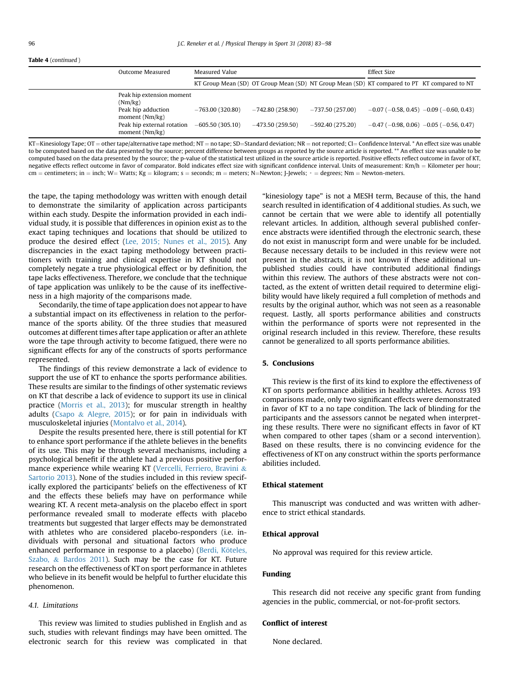# Table 4 (continued )

| $1.4221$ $1.0011111100$ |                                                                                                                              |                                        |                                        |                                                                                              |             |                                                                                                            |
|-------------------------|------------------------------------------------------------------------------------------------------------------------------|----------------------------------------|----------------------------------------|----------------------------------------------------------------------------------------------|-------------|------------------------------------------------------------------------------------------------------------|
|                         | Outcome Measured                                                                                                             | Measured Value                         |                                        |                                                                                              | Effect Size |                                                                                                            |
|                         |                                                                                                                              |                                        |                                        | KT Group Mean (SD) OT Group Mean (SD) NT Group Mean (SD) KT compared to PT KT compared to NT |             |                                                                                                            |
|                         | Peak hip extension moment<br>(Nm/kg)<br>Peak hip adduction<br>moment (Nm/kg)<br>Peak hip external rotation<br>moment (Nm/kg) | $-763.00(320.80)$<br>$-605.50(305.10)$ | $-742.80(258.90)$<br>$-473.50(259.50)$ | $-737.50(257.00)$<br>$-592.40(275.20)$                                                       |             | $-0.07$ ( $-0.58$ , 0.45) $-0.09$ ( $-0.60$ , 0.43)<br>$-0.47$ ( $-0.98$ , 0.06) $-0.05$ ( $-0.56$ , 0.47) |

KT=Kinesiology Tape; OT = other tape/alternative tape method; NT = no tape; SD=Standard deviation; NR = not reported; CI= Confidence Interval. \* An effect size was unable to be computed based on the data presented by the source; percent difference between groups as reported by the source article is reported. \*\* An effect size was unable to be computed based on the data presented by the source; the p-value of the statistical test utilized in the source article is reported. Positive effects reflect outcome in favor of KT, negative effects reflect outcome in favor of comparator. Bold indicates effect size with significant confidence interval. Units of measurement: Km/h = Kilometer per hour; cm = centimeters; in = inch; W= Watts; Kg = kilogram; s = seconds; m = meters; N=Newton; J-Jewels; ∘ = degrees; Nm = Newton-meters.

the tape, the taping methodology was written with enough detail to demonstrate the similarity of application across participants within each study. Despite the information provided in each individual study, it is possible that differences in opinion exist as to the exact taping techniques and locations that should be utilized to produce the desired effect [\(Lee, 2015; Nunes et al., 2015](#page-14-0)). Any discrepancies in the exact taping methodology between practitioners with training and clinical expertise in KT should not completely negate a true physiological effect or by definition, the tape lacks effectiveness. Therefore, we conclude that the technique of tape application was unlikely to be the cause of its ineffectiveness in a high majority of the comparisons made.

Secondarily, the time of tape application does not appear to have a substantial impact on its effectiveness in relation to the performance of the sports ability. Of the three studies that measured outcomes at different times after tape application or after an athlete wore the tape through activity to become fatigued, there were no significant effects for any of the constructs of sports performance represented.

The findings of this review demonstrate a lack of evidence to support the use of KT to enhance the sports performance abilities. These results are similar to the findings of other systematic reviews on KT that describe a lack of evidence to support its use in clinical practice [\(Morris et al., 2013\)](#page-14-0); for muscular strength in healthy adults [\(Csapo](#page-14-0)  $&$  [Alegre, 2015\)](#page-14-0); or for pain in individuals with musculoskeletal injuries [\(Montalvo et al., 2014\)](#page-14-0).

Despite the results presented here, there is still potential for KT to enhance sport performance if the athlete believes in the benefits of its use. This may be through several mechanisms, including a psychological benefit if the athlete had a previous positive performance experience while wearing KT ([Vercelli, Ferriero, Bravini](#page-14-0) & [Sartorio 2013\)](#page-14-0). None of the studies included in this review specifically explored the participants' beliefs on the effectiveness of KT and the effects these beliefs may have on performance while wearing KT. A recent meta-analysis on the placebo effect in sport performance revealed small to moderate effects with placebo treatments but suggested that larger effects may be demonstrated with athletes who are considered placebo-responders (i.e. individuals with personal and situational factors who produce enhanced performance in response to a placebo) (Berdi, Köteles, [Szabo,](#page-14-0) & [Bardos 2011](#page-14-0)). Such may be the case for KT. Future research on the effectiveness of KT on sport performance in athletes who believe in its benefit would be helpful to further elucidate this phenomenon.

# 4.1. Limitations

This review was limited to studies published in English and as such, studies with relevant findings may have been omitted. The electronic search for this review was complicated in that "kinesiology tape" is not a MESH term, Because of this, the hand search resulted in identification of 4 additional studies. As such, we cannot be certain that we were able to identify all potentially relevant articles. In addition, although several published conference abstracts were identified through the electronic search, these do not exist in manuscript form and were unable for be included. Because necessary details to be included in this review were not present in the abstracts, it is not known if these additional unpublished studies could have contributed additional findings within this review. The authors of these abstracts were not contacted, as the extent of written detail required to determine eligibility would have likely required a full completion of methods and results by the original author, which was not seen as a reasonable request. Lastly, all sports performance abilities and constructs within the performance of sports were not represented in the original research included in this review. Therefore, these results cannot be generalized to all sports performance abilities.

### 5. Conclusions

This review is the first of its kind to explore the effectiveness of KT on sports performance abilities in healthy athletes. Across 193 comparisons made, only two significant effects were demonstrated in favor of KT to a no tape condition. The lack of blinding for the participants and the assessors cannot be negated when interpreting these results. There were no significant effects in favor of KT when compared to other tapes (sham or a second intervention). Based on these results, there is no convincing evidence for the effectiveness of KT on any construct within the sports performance abilities included.

# Ethical statement

This manuscript was conducted and was written with adherence to strict ethical standards.

## Ethical approval

No approval was required for this review article.

# Funding

This research did not receive any specific grant from funding agencies in the public, commercial, or not-for-profit sectors.

# Conflict of interest

None declared.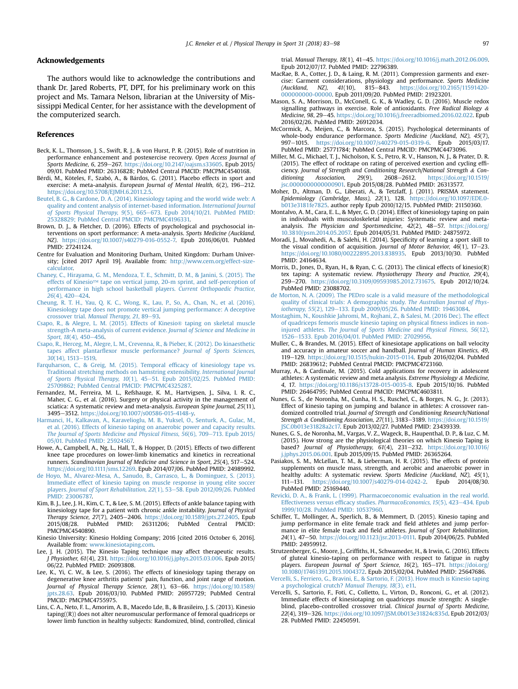### <span id="page-14-0"></span>Acknowledgements

The authors would like to acknowledge the contributions and thank Dr. Jared Roberts, PT, DPT, for his preliminary work on this project and Ms. Tamara Nelson, librarian at the University of Mississippi Medical Center, for her assistance with the development of the computerized search.

### References

- Beck, K. L., Thomson, J. S., Swift, R. J., & von Hurst, P. R. (2015). Role of nutrition in performance enhancement and postexercise recovery. Open Access Journal of Sports Medicine, 6, 259-267. <https://doi.org/10.2147/oajsm.s33605>. Epub 2015/ 09/01. PubMed PMID: 26316828; PubMed Central PMCID: PMCPMC4540168.
- Bérdi, M., Köteles, F., Szabó, A., & Bárdos, G. (2011). Placebo effects in sport and exercise: A meta-analysis. European Journal of Mental Health, 6(2), 196-212. <https://doi.org/10.5708/EJMH.6.2011.2.5>.
- [Beutel, B. G., & Cardone, D. A. \(2014\). Kinesiology taping and the world wide web: A](http://refhub.elsevier.com/S1466-853X(16)30185-7/sref3) [quality and content analysis of internet-based information.](http://refhub.elsevier.com/S1466-853X(16)30185-7/sref3) International Journal [of Sports Physical Therapy, 9](http://refhub.elsevier.com/S1466-853X(16)30185-7/sref3)(5), 665-[673. Epub 2014/10/21. PubMed PMID:](http://refhub.elsevier.com/S1466-853X(16)30185-7/sref3) [25328829; PubMed Central PMCID: PMCPMC4196331.](http://refhub.elsevier.com/S1466-853X(16)30185-7/sref3)
- Brown, D. J., & Fletcher, D. (2016). Effects of psychological and psychosocial interventions on sport performance: A meta-analysis. Sports Medicine (Auckland, NZ). [https://doi.org/10.1007/s40279-016-0552-7.](https://doi.org/10.1007/s40279-016-0552-7) Epub 2016/06/01. PubMed PMID: 27241124.
- Centre for Evaluation and Monitoring Durham, United Kingdom: Durham University; [cited 2017 April 19]. Available from: [http://www.cem.org/effect-size](http://www.cem.org/effect-size-calculator)[calculator.](http://www.cem.org/effect-size-calculator)
- [Chaney, C., Hirayama, G. M., Mendoza, T. E., Schmitt, D. M., & Janini, S. \(2015\). The](http://refhub.elsevier.com/S1466-853X(16)30185-7/sref6) effects of Kinesio™ [tape on vertical jump, 20-m sprint, and self-perception of](http://refhub.elsevier.com/S1466-853X(16)30185-7/sref6) [performance in high school basketball players.](http://refhub.elsevier.com/S1466-853X(16)30185-7/sref6) Current Orthopaedic Practice,  $26(4)$ , 420-[424.](http://refhub.elsevier.com/S1466-853X(16)30185-7/sref6)
- [Cheung, R. T. H., Yau, Q. K. C., Wong, K., Lau, P., So, A., Chan, N., et al. \(2016\).](http://refhub.elsevier.com/S1466-853X(16)30185-7/sref7) [Kinesiology tape does not promote vertical jumping performance: A deceptive](http://refhub.elsevier.com/S1466-853X(16)30185-7/sref7) crossover trial. [Manual Therapy, 21](http://refhub.elsevier.com/S1466-853X(16)30185-7/sref7), 89-[93.](http://refhub.elsevier.com/S1466-853X(16)30185-7/sref7)
- [Csapo, R., & Alegre, L. M. \(2015\). Effects of Kinesio](http://refhub.elsevier.com/S1466-853X(16)30185-7/sref8)® taping on skeletal muscle [strength-A meta-analysis of current evidence.](http://refhub.elsevier.com/S1466-853X(16)30185-7/sref8) Journal of Science and Medicine in [Sport, 18](http://refhub.elsevier.com/S1466-853X(16)30185-7/sref8)(4), 450-[456](http://refhub.elsevier.com/S1466-853X(16)30185-7/sref8).
- [Csapo, R., Herceg, M., Alegre, L. M., Crevenna, R., & Pieber, K. \(2012\). Do kinaesthetic](http://refhub.elsevier.com/S1466-853X(16)30185-7/sref9) tapes affect plantarfl[exor muscle performance?](http://refhub.elsevier.com/S1466-853X(16)30185-7/sref9) Journal of Sports Sciences, 30[\(14\), 1513](http://refhub.elsevier.com/S1466-853X(16)30185-7/sref9)-[1519.](http://refhub.elsevier.com/S1466-853X(16)30185-7/sref9)
- [Farquharson, C., & Greig, M. \(2015\). Temporal ef](http://refhub.elsevier.com/S1466-853X(16)30185-7/sref10)ficacy of kinesiology tape vs. [Traditional stretching methods on hamstring extensibility.](http://refhub.elsevier.com/S1466-853X(16)30185-7/sref10) International Journal of Sports Physical Therapy,  $10(1)$ ,  $45-51$ . Epub 2015/02/25. PubMed PMID: [25709862; PubMed Central PMCID: PMCPMC4325287.](http://refhub.elsevier.com/S1466-853X(16)30185-7/sref10)
- Fernandez, M., Ferreira, M. L., Refshauge, K. M., Hartvigsen, J., Silva, I. R. C., Maher, C. G., et al. (2016). Surgery or physical activity in the management of sciatica: A systematic review and meta-analysis. European Spine Journal, 25(11), 3495-3512. [https://doi.org/10.1007/s00586-015-4148-y.](https://doi.org/10.1007/s00586-015-4148-y)
- [Harmanci, H., Kalkavan, A., Karavelioglu, M. B., Yuksel, O., Senturk, A., Gulac, M.,](http://refhub.elsevier.com/S1466-853X(16)30185-7/sref12) [et al. \(2016\). Effects of kinesio taping on anaerobic power and capacity results.](http://refhub.elsevier.com/S1466-853X(16)30185-7/sref12) The Journal of Sports Medicine and Physical Fitness,  $56(6)$ , 709-[713. Epub 2015/](http://refhub.elsevier.com/S1466-853X(16)30185-7/sref12) [05/01. PubMed PMID: 25924567.](http://refhub.elsevier.com/S1466-853X(16)30185-7/sref12)
- Howe, A., Campbell, A., Ng, L., Hall, T., & Hopper, D. (2015). Effects of two different knee tape procedures on lower-limb kinematics and kinetics in recreational runners. Scandinavian Journal of Medicine and Science in Sport, 25(4), 517-524. [https://doi.org/10.1111/sms.12269.](https://doi.org/10.1111/sms.12269) Epub 2014/07/06. PubMed PMID: 24989992.
- [de Hoyo, M., Alvarez-Mesa, A., Sanudo, B., Carrasco, L., & Dominguez, S. \(2013\).](http://refhub.elsevier.com/S1466-853X(16)30185-7/sref14) [Immediate effect of kinesio taping on muscle response in young elite soccer](http://refhub.elsevier.com/S1466-853X(16)30185-7/sref14) players. [Journal of Sport Rehabilitation, 22](http://refhub.elsevier.com/S1466-853X(16)30185-7/sref14)(1), 53-[58. Epub 2012/09/26. PubMed](http://refhub.elsevier.com/S1466-853X(16)30185-7/sref14) [PMID: 23006787.](http://refhub.elsevier.com/S1466-853X(16)30185-7/sref14)
- Kim, B. J., Lee, J. H., Kim, C. T., & Lee, S. M. (2015). Effects of ankle balance taping with kinesiology tape for a patient with chronic ankle instability. Journal of Physical Therapy Science, 27(7), 2405–2406. [https://doi.org/10.1589/jpts.27.2405.](https://doi.org/10.1589/jpts.27.2405) Epub<br>2015/08/28. PubMed PMID: 26311206: PubMed Central PMCID: PubMed PMID: 26311206: PubMed Central PMCID: PMCPMC4540890.
- Kinesio University: Kinesio Holding Company; 2016 [cited 2016 October 6, 2016]. Available from: [www.kinesiotaping.com.](http://www.kinesiotaping.com)
- Lee, J. H. (2015). The Kinesio Taping technique may affect therapeutic results. J Physiother, 61(4), 231. <https://doi.org/10.1016/j.jphys.2015.03.006>. Epub 2015/ 06/22. PubMed PMID: 26093808.
- Lee, K., Yi, C. W., & Lee, S. (2016). The effects of kinesiology taping therapy on degenerative knee arthritis patients' pain, function, and joint range of motion. Journal of Physical Therapy Science, 28(1), 63-66. [https://doi.org/10.1589/](https://doi.org/10.1589/jpts.28.63) [jpts.28.63.](https://doi.org/10.1589/jpts.28.63) Epub 2016/03/10. PubMed PMID: 26957729; PubMed Central PMCID: PMCPMC4755975.
- Lins, C. A., Neto, F. L., Amorim, A. B., Macedo Lde, B., & Brasileiro, J. S. (2013). Kinesio taping((R)) does not alter neuromuscular performance of femoral quadriceps or lower limb function in healthy subjects: Randomized, blind, controlled, clinical

trial. Manual Therapy, 18(1), 41-45. <https://doi.org/10.1016/j.math.2012.06.009>. Epub 2012/07/17. PubMed PMID: 22796389.

- MacRae, B. A., Cotter, J. D., & Laing, R. M. (2011). Compression garments and exercise: Garment considerations, physiology and performance. Sports Medicine (Auckland, NZ), 41(10), 815-843. https://doi.org/10.2165/11591420[https://doi.org/10.2165/11591420-](https://doi.org/10.2165/11591420-000000000-00000) [000000000-00000.](https://doi.org/10.2165/11591420-000000000-00000) Epub 2011/09/20. PubMed PMID: 21923201.
- Mason, S. A., Morrison, D., McConell, G. K., & Wadley, G. D. (2016). Muscle redox signalling pathways in exercise. Role of antioxidants. Free Radical Biology & Medicine, 98, 29-45. [https://doi.org/10.1016/j.freeradbiomed.2016.02.022.](https://doi.org/10.1016/j.freeradbiomed.2016.02.022) Epub 2016/02/26. PubMed PMID: 26912034.
- McCormick, A., Meijen, C., & Marcora, S. (2015). Psychological determinants of whole-body endurance performance. Sports Medicine (Auckland, NZ), 45(7), 997-1015. [https://doi.org/10.1007/s40279-015-0319-6.](https://doi.org/10.1007/s40279-015-0319-6) Epub 2015/03/17. PubMed PMID: 25771784; PubMed Central PMCID: PMCPMC4473096.
- Miller, M. G., Michael, T. J., Nicholson, K. S., Petro, R. V., Hanson, N. J., & Prater, D. R. (2015). The effect of rocktape on rating of perceived exertion and cycling efficiency. Journal of Strength and Conditioning Research/National Strength & Con-<br>ditioning Association, 29(9), 2608–2612. https://doi.org/10.1519/ ditioning Association,  $29(9)$ ,  $2608-2612$ , [https://doi.org/10.1519/](https://doi.org/10.1519/jsc.0000000000000901) [jsc.0000000000000901.](https://doi.org/10.1519/jsc.0000000000000901) Epub 2015/08/28. PubMed PMID: 26313577.
- Moher, D., Altman, D. G., Liberati, A., & Tetzlaff, J. (2011). PRISMA statement. Epidemiology (Cambridge, Mass), 22(1), 128. [https://doi.org/10.1097/EDE.0](https://doi.org/10.1097/EDE.0b013e3181fe7825) [b013e3181fe7825.](https://doi.org/10.1097/EDE.0b013e3181fe7825) author reply Epub 2010/12/15. PubMed PMID: 21150360.
- Montalvo, A. M., Cara, E. L., & Myer, G. D. (2014). Effect of kinesiology taping on pain in individuals with musculoskeletal injuries: Systematic review and metaanalysis. The Physician and Sportsmedicine, 42(2), 48–57. [https://doi.org/](https://doi.org/10.3810/psm.2014.05.2057)<br>[10.3810/psm.2014.05.2057.](https://doi.org/10.3810/psm.2014.05.2057) Epub 2014/05/31. PubMed PMID: 24875972.
- Moradi, J., Movahedi, A., & Salehi, H. (2014). Specificity of learning a sport skill to the visual condition of acquisition. Journal of Motor Behavior,  $46(1)$ ,  $17-23$ . [https://doi.org/10.1080/00222895.2013.838935.](https://doi.org/10.1080/00222895.2013.838935) Epub 2013/10/30. PubMed PMID: 24164634.
- Morris, D., Jones, D., Ryan, H., & Ryan, C. G. (2013). The clinical effects of kinesio(R) tex taping: A systematic review. Physiotherapy Theory and Practice, 29(4), 259-270. <https://doi.org/10.3109/09593985.2012.731675>. Epub 2012/10/24. PubMed PMID: 23088702.
- [de Morton, N. A. \(2009\). The PEDro scale is a valid measure of the methodological](http://refhub.elsevier.com/S1466-853X(16)30185-7/sref28) [quality of clinical trials: A demographic study.](http://refhub.elsevier.com/S1466-853X(16)30185-7/sref28) The Australian Journal of Phys[iotherapy, 55](http://refhub.elsevier.com/S1466-853X(16)30185-7/sref28)(2), 129-[133. Epub 2009/05/26. PubMed PMID: 19463084.](http://refhub.elsevier.com/S1466-853X(16)30185-7/sref28)
- [Mostaghim, N., Koushkie Jahromi, M., Rojhani, Z., & Salesi, M. \(2016 Dec\). The effect](http://refhub.elsevier.com/S1466-853X(16)30185-7/sref29) [of quadriceps femoris muscle kinesio taping on physical](http://refhub.elsevier.com/S1466-853X(16)30185-7/sref29) fitness indices in noninjured athletes. [The Journal of Sports Medicine and Physical Fitness, 56](http://refhub.elsevier.com/S1466-853X(16)30185-7/sref29)(12), [1526](http://refhub.elsevier.com/S1466-853X(16)30185-7/sref29)-[1533. Epub 2016/04/01. PubMed PMID: 27029956.](http://refhub.elsevier.com/S1466-853X(16)30185-7/sref29)
- Muller, C., & Brandes, M. (2015). Effect of kinesiotape applications on ball velocity and accuracy in amateur soccer and handball. Journal of Human Kinetics, 49, 119-129. [https://doi.org/10.1515/hukin-2015-0114.](https://doi.org/10.1515/hukin-2015-0114) Epub 2016/02/04. PubMed PMID: 26839612; PubMed Central PMCID: PMCPMC4723160.
- Murray, A., & Cardinale, M. (2015). Cold applications for recovery in adolescent athletes: A systematic review and meta analysis. Extreme Physiology & Medicine, 4, 17. [https://doi.org/10.1186/s13728-015-0035-8.](https://doi.org/10.1186/s13728-015-0035-8) Epub 2015/10/16. PubMed PMID: 26464795; PubMed Central PMCID: PMCPMC4603811.
- Nunes, G. S., de Noronha, M., Cunha, H. S., Ruschel, C., & Borges, N. G., Jr. (2013). Effect of kinesio taping on jumping and balance in athletes: A crossover randomized controlled trial. Journal of Strength and Conditioning Research/National Strength & Conditioning Association, 27(11), 3183-3189. [https://doi.org/10.1519/](https://doi.org/10.1519/JSC.0b013e31828a2c17) [JSC.0b013e31828a2c17.](https://doi.org/10.1519/JSC.0b013e31828a2c17) Epub 2013/02/27. PubMed PMID: 23439339.
- Nunes, G. S., de Noronha, M., Vargas, V. Z., Wageck, B., Haupenthal, D. P., & Luz, C. M. (2015). How strong are the physiological theories on which Kinesio Taping is based? Journal of Physiotherapy, 61(4), 231-232. [https://doi.org/10.1016/](https://doi.org/10.1016/j.jphys.2015.06.001) [j.jphys.2015.06.001.](https://doi.org/10.1016/j.jphys.2015.06.001) Epub 2015/09/15. PubMed PMID: 26365264.
- Pasiakos, S. M., McLellan, T. M., & Lieberman, H. R. (2015). The effects of protein supplements on muscle mass, strength, and aerobic and anaerobic power in healthy adults: A systematic review. Sports Medicine (Auckland, NZ), 45(1), 111-131. https://doi.org/10.1007/s40279-014-0242-2. Epub 2014/08/30. <https://doi.org/10.1007/s40279-014-0242-2>. Epub PubMed PMID: 25169440.
- [Revicki, D. A., & Frank, L. \(1999\). Pharmacoeconomic evaluation in the real world.](http://refhub.elsevier.com/S1466-853X(16)30185-7/sref35) Effectiveness versus efficacy studies. [PharmacoEconomics, 15](http://refhub.elsevier.com/S1466-853X(16)30185-7/sref35)(5), 423-[434. Epub](http://refhub.elsevier.com/S1466-853X(16)30185-7/sref35) [1999/10/28. PubMed PMID: 10537960](http://refhub.elsevier.com/S1466-853X(16)30185-7/sref35).
- Schiffer, T., Mollinger, A., Sperlich, B., & Memmert, D. (2015). Kinesio taping and jump performance in elite female track and field athletes and jump performance in elite female track and field athletes. Journal of Sport Rehabilitation, 24(1), 47-50. [https://doi.org/10.1123/jsr.2013-0111.](https://doi.org/10.1123/jsr.2013-0111) Epub 2014/06/25. PubMed PMID: 24959912.
- Strutzenberger, G., Moore, J., Griffiths, H., Schwameder, H., & Irwin, G. (2016). Effects of gluteal kinesio-taping on performance with respect to fatigue in rugby players. European Journal of Sport Science, 16(2), 165–171. [https://doi.org/](https://doi.org/10.1080/17461391.2015.1004372)<br>[10.1080/17461391.2015.1004372.](https://doi.org/10.1080/17461391.2015.1004372) Epub 2015/02/04. PubMed PMID: 25647686.
- [Vercelli, S., Ferriero, G., Bravini, E., & Sartorio, F. \(2013\). How much is Kinesio taping](http://refhub.elsevier.com/S1466-853X(16)30185-7/sref38) [a psychological crutch?](http://refhub.elsevier.com/S1466-853X(16)30185-7/sref38) Manual Therapy, 18(3), e11.
- Vercelli, S., Sartorio, F., Foti, C., Colletto, L., Virton, D., Ronconi, G., et al. (2012). Immediate effects of kinesiotaping on quadriceps muscle strength: A singleblind, placebo-controlled crossover trial. Clinical Journal of Sports Medicine, 22(4), 319-326. <https://doi.org/10.1097/JSM.0b013e31824c835d>. Epub 2012/03/ 28. PubMed PMID: 22450591.